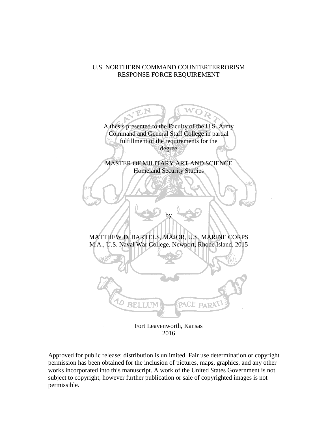# U.S. NORTHERN COMMAND COUNTERTERRORISM RESPONSE FORCE REQUIREMENT



2016

Approved for public release; distribution is unlimited. Fair use determination or copyright permission has been obtained for the inclusion of pictures, maps, graphics, and any other works incorporated into this manuscript. A work of the United States Government is not subject to copyright, however further publication or sale of copyrighted images is not permissible.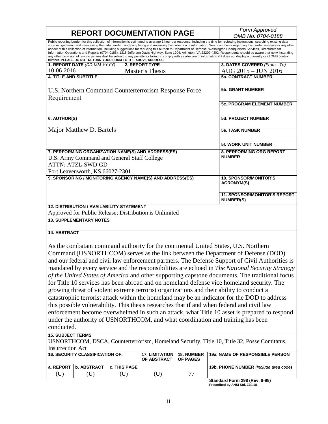| Public reporting burden for this collection of information is estimated to average 1 hour per response, including the time for reviewing instructions, searching existing data<br>sources, gathering and maintaining the data needed, and completing and reviewing this collection of information. Send comments regarding this burden estimate or any other<br>aspect of this collection of information, including suggestions for reducing this burden to Department of Defense, Washington Headquarters Services, Directorate for<br>Information Operations and Reports (0704-0188), 1215 Jefferson Davis Highway, Suite 1204, Arlington, VA 22202-4302. Respondents should be aware that notwithstanding<br>any other provision of law, no person shall be subject to any penalty for failing to comply with a collection of information if it does not display a currently valid OMB control<br>number. PLEASE DO NOT RETURN YOUR FORM TO THE ABOVE ADDRESS.<br>3. DATES COVERED (From - To)<br>1. REPORT DATE (DD-MM-YYYY)<br>2. REPORT TYPE<br>10-06-2016<br>AUG 2015 - JUN 2016<br>Master's Thesis<br><b>5a. CONTRACT NUMBER</b><br><b>4. TITLE AND SUBTITLE</b><br><b>5b. GRANT NUMBER</b><br>U.S. Northern Command Counterterrorism Response Force<br>Requirement<br><b>5c. PROGRAM ELEMENT NUMBER</b><br>6. AUTHOR(S)<br><b>5d. PROJECT NUMBER</b><br>Major Matthew D. Bartels<br><b>5e. TASK NUMBER</b><br>5f. WORK UNIT NUMBER<br>7. PERFORMING ORGANIZATION NAME(S) AND ADDRESS(ES)<br>8. PERFORMING ORG REPORT<br><b>NUMBER</b><br>U.S. Army Command and General Staff College<br>ATTN: ATZL-SWD-GD<br>Fort Leavenworth, KS 66027-2301<br>9. SPONSORING / MONITORING AGENCY NAME(S) AND ADDRESS(ES)<br><b>10. SPONSOR/MONITOR'S</b><br><b>ACRONYM(S)</b><br>11. SPONSOR/MONITOR'S REPORT<br><b>NUMBER(S)</b><br><b>12. DISTRIBUTION / AVAILABILITY STATEMENT</b><br>Approved for Public Release; Distribution is Unlimited<br><b>13. SUPPLEMENTARY NOTES</b><br><b>14. ABSTRACT</b><br>As the combatant command authority for the continental United States, U.S. Northern<br>Command (USNORTHCOM) serves as the link between the Department of Defense (DOD)<br>and our federal and civil law enforcement partners. The Defense Support of Civil Authorities is<br>mandated by every service and the responsibilities are echoed in The National Security Strategy<br>of the United States of America and other supporting capstone documents. The traditional focus<br>for Title 10 services has been abroad and on homeland defense vice homeland security. The<br>growing threat of violent extreme terrorist organizations and their ability to conduct a<br>catastrophic terrorist attack within the homeland may be an indicator for the DOD to address<br>this possible vulnerability. This thesis researches that if and when federal and civil law<br>enforcement become overwhelmed in such an attack, what Title 10 asset is prepared to respond<br>under the authority of USNORTHCOM, and what coordination and training has been<br>conducted.<br><b>15. SUBJECT TERMS</b><br>USNORTHCOM, DSCA, Counterterrorism, Homeland Security, Title 10, Title 32, Posse Comitatus,<br><b>Insurrection Act</b><br><b>16. SECURITY CLASSIFICATION OF:</b><br><b>17. LIMITATION</b><br><b>18. NUMBER</b><br>19a. NAME OF RESPONSIBLE PERSON<br>OF ABSTRACT<br>OF PAGES<br><b>b. ABSTRACT</b><br>a. REPORT<br>c. THIS PAGE<br>19b. PHONE NUMBER (include area code)<br>77<br>(U)<br>(U)<br>(U)<br>(U)<br>Standard Form 298 (Rev. 8-98) |  |  |  | <b>REPORT DOCUMENTATION PAGE</b> |  | Form Approved     |  |
|--------------------------------------------------------------------------------------------------------------------------------------------------------------------------------------------------------------------------------------------------------------------------------------------------------------------------------------------------------------------------------------------------------------------------------------------------------------------------------------------------------------------------------------------------------------------------------------------------------------------------------------------------------------------------------------------------------------------------------------------------------------------------------------------------------------------------------------------------------------------------------------------------------------------------------------------------------------------------------------------------------------------------------------------------------------------------------------------------------------------------------------------------------------------------------------------------------------------------------------------------------------------------------------------------------------------------------------------------------------------------------------------------------------------------------------------------------------------------------------------------------------------------------------------------------------------------------------------------------------------------------------------------------------------------------------------------------------------------------------------------------------------------------------------------------------------------------------------------------------------------------------------------------------------------------------------------------------------------------------------------------------------------------------------------------------------------------------------------------------------------------------------------------------------------------------------------------------------------------------------------------------------------------------------------------------------------------------------------------------------------------------------------------------------------------------------------------------------------------------------------------------------------------------------------------------------------------------------------------------------------------------------------------------------------------------------------------------------------------------------------------------------------------------------------------------------------------------------------------------------------------------------------------------------------------------------------------------------------------------------------------------------------------------------------------------------------------------------------------------------------------------------------------------------------------------------------------------------------------------------------------------------------------------------------------------------------------------------------------------------------------------------------------------------------------------------------------------------------------------------------------------------------------------------------------|--|--|--|----------------------------------|--|-------------------|--|
|                                                                                                                                                                                                                                                                                                                                                                                                                                                                                                                                                                                                                                                                                                                                                                                                                                                                                                                                                                                                                                                                                                                                                                                                                                                                                                                                                                                                                                                                                                                                                                                                                                                                                                                                                                                                                                                                                                                                                                                                                                                                                                                                                                                                                                                                                                                                                                                                                                                                                                                                                                                                                                                                                                                                                                                                                                                                                                                                                                                                                                                                                                                                                                                                                                                                                                                                                                                                                                                                                                                                                        |  |  |  |                                  |  | OMB No. 0704-0188 |  |
|                                                                                                                                                                                                                                                                                                                                                                                                                                                                                                                                                                                                                                                                                                                                                                                                                                                                                                                                                                                                                                                                                                                                                                                                                                                                                                                                                                                                                                                                                                                                                                                                                                                                                                                                                                                                                                                                                                                                                                                                                                                                                                                                                                                                                                                                                                                                                                                                                                                                                                                                                                                                                                                                                                                                                                                                                                                                                                                                                                                                                                                                                                                                                                                                                                                                                                                                                                                                                                                                                                                                                        |  |  |  |                                  |  |                   |  |
|                                                                                                                                                                                                                                                                                                                                                                                                                                                                                                                                                                                                                                                                                                                                                                                                                                                                                                                                                                                                                                                                                                                                                                                                                                                                                                                                                                                                                                                                                                                                                                                                                                                                                                                                                                                                                                                                                                                                                                                                                                                                                                                                                                                                                                                                                                                                                                                                                                                                                                                                                                                                                                                                                                                                                                                                                                                                                                                                                                                                                                                                                                                                                                                                                                                                                                                                                                                                                                                                                                                                                        |  |  |  |                                  |  |                   |  |
|                                                                                                                                                                                                                                                                                                                                                                                                                                                                                                                                                                                                                                                                                                                                                                                                                                                                                                                                                                                                                                                                                                                                                                                                                                                                                                                                                                                                                                                                                                                                                                                                                                                                                                                                                                                                                                                                                                                                                                                                                                                                                                                                                                                                                                                                                                                                                                                                                                                                                                                                                                                                                                                                                                                                                                                                                                                                                                                                                                                                                                                                                                                                                                                                                                                                                                                                                                                                                                                                                                                                                        |  |  |  |                                  |  |                   |  |
|                                                                                                                                                                                                                                                                                                                                                                                                                                                                                                                                                                                                                                                                                                                                                                                                                                                                                                                                                                                                                                                                                                                                                                                                                                                                                                                                                                                                                                                                                                                                                                                                                                                                                                                                                                                                                                                                                                                                                                                                                                                                                                                                                                                                                                                                                                                                                                                                                                                                                                                                                                                                                                                                                                                                                                                                                                                                                                                                                                                                                                                                                                                                                                                                                                                                                                                                                                                                                                                                                                                                                        |  |  |  |                                  |  |                   |  |
|                                                                                                                                                                                                                                                                                                                                                                                                                                                                                                                                                                                                                                                                                                                                                                                                                                                                                                                                                                                                                                                                                                                                                                                                                                                                                                                                                                                                                                                                                                                                                                                                                                                                                                                                                                                                                                                                                                                                                                                                                                                                                                                                                                                                                                                                                                                                                                                                                                                                                                                                                                                                                                                                                                                                                                                                                                                                                                                                                                                                                                                                                                                                                                                                                                                                                                                                                                                                                                                                                                                                                        |  |  |  |                                  |  |                   |  |
|                                                                                                                                                                                                                                                                                                                                                                                                                                                                                                                                                                                                                                                                                                                                                                                                                                                                                                                                                                                                                                                                                                                                                                                                                                                                                                                                                                                                                                                                                                                                                                                                                                                                                                                                                                                                                                                                                                                                                                                                                                                                                                                                                                                                                                                                                                                                                                                                                                                                                                                                                                                                                                                                                                                                                                                                                                                                                                                                                                                                                                                                                                                                                                                                                                                                                                                                                                                                                                                                                                                                                        |  |  |  |                                  |  |                   |  |
|                                                                                                                                                                                                                                                                                                                                                                                                                                                                                                                                                                                                                                                                                                                                                                                                                                                                                                                                                                                                                                                                                                                                                                                                                                                                                                                                                                                                                                                                                                                                                                                                                                                                                                                                                                                                                                                                                                                                                                                                                                                                                                                                                                                                                                                                                                                                                                                                                                                                                                                                                                                                                                                                                                                                                                                                                                                                                                                                                                                                                                                                                                                                                                                                                                                                                                                                                                                                                                                                                                                                                        |  |  |  |                                  |  |                   |  |
|                                                                                                                                                                                                                                                                                                                                                                                                                                                                                                                                                                                                                                                                                                                                                                                                                                                                                                                                                                                                                                                                                                                                                                                                                                                                                                                                                                                                                                                                                                                                                                                                                                                                                                                                                                                                                                                                                                                                                                                                                                                                                                                                                                                                                                                                                                                                                                                                                                                                                                                                                                                                                                                                                                                                                                                                                                                                                                                                                                                                                                                                                                                                                                                                                                                                                                                                                                                                                                                                                                                                                        |  |  |  |                                  |  |                   |  |
|                                                                                                                                                                                                                                                                                                                                                                                                                                                                                                                                                                                                                                                                                                                                                                                                                                                                                                                                                                                                                                                                                                                                                                                                                                                                                                                                                                                                                                                                                                                                                                                                                                                                                                                                                                                                                                                                                                                                                                                                                                                                                                                                                                                                                                                                                                                                                                                                                                                                                                                                                                                                                                                                                                                                                                                                                                                                                                                                                                                                                                                                                                                                                                                                                                                                                                                                                                                                                                                                                                                                                        |  |  |  |                                  |  |                   |  |
|                                                                                                                                                                                                                                                                                                                                                                                                                                                                                                                                                                                                                                                                                                                                                                                                                                                                                                                                                                                                                                                                                                                                                                                                                                                                                                                                                                                                                                                                                                                                                                                                                                                                                                                                                                                                                                                                                                                                                                                                                                                                                                                                                                                                                                                                                                                                                                                                                                                                                                                                                                                                                                                                                                                                                                                                                                                                                                                                                                                                                                                                                                                                                                                                                                                                                                                                                                                                                                                                                                                                                        |  |  |  |                                  |  |                   |  |
|                                                                                                                                                                                                                                                                                                                                                                                                                                                                                                                                                                                                                                                                                                                                                                                                                                                                                                                                                                                                                                                                                                                                                                                                                                                                                                                                                                                                                                                                                                                                                                                                                                                                                                                                                                                                                                                                                                                                                                                                                                                                                                                                                                                                                                                                                                                                                                                                                                                                                                                                                                                                                                                                                                                                                                                                                                                                                                                                                                                                                                                                                                                                                                                                                                                                                                                                                                                                                                                                                                                                                        |  |  |  |                                  |  |                   |  |
|                                                                                                                                                                                                                                                                                                                                                                                                                                                                                                                                                                                                                                                                                                                                                                                                                                                                                                                                                                                                                                                                                                                                                                                                                                                                                                                                                                                                                                                                                                                                                                                                                                                                                                                                                                                                                                                                                                                                                                                                                                                                                                                                                                                                                                                                                                                                                                                                                                                                                                                                                                                                                                                                                                                                                                                                                                                                                                                                                                                                                                                                                                                                                                                                                                                                                                                                                                                                                                                                                                                                                        |  |  |  |                                  |  |                   |  |
|                                                                                                                                                                                                                                                                                                                                                                                                                                                                                                                                                                                                                                                                                                                                                                                                                                                                                                                                                                                                                                                                                                                                                                                                                                                                                                                                                                                                                                                                                                                                                                                                                                                                                                                                                                                                                                                                                                                                                                                                                                                                                                                                                                                                                                                                                                                                                                                                                                                                                                                                                                                                                                                                                                                                                                                                                                                                                                                                                                                                                                                                                                                                                                                                                                                                                                                                                                                                                                                                                                                                                        |  |  |  |                                  |  |                   |  |
|                                                                                                                                                                                                                                                                                                                                                                                                                                                                                                                                                                                                                                                                                                                                                                                                                                                                                                                                                                                                                                                                                                                                                                                                                                                                                                                                                                                                                                                                                                                                                                                                                                                                                                                                                                                                                                                                                                                                                                                                                                                                                                                                                                                                                                                                                                                                                                                                                                                                                                                                                                                                                                                                                                                                                                                                                                                                                                                                                                                                                                                                                                                                                                                                                                                                                                                                                                                                                                                                                                                                                        |  |  |  |                                  |  |                   |  |
|                                                                                                                                                                                                                                                                                                                                                                                                                                                                                                                                                                                                                                                                                                                                                                                                                                                                                                                                                                                                                                                                                                                                                                                                                                                                                                                                                                                                                                                                                                                                                                                                                                                                                                                                                                                                                                                                                                                                                                                                                                                                                                                                                                                                                                                                                                                                                                                                                                                                                                                                                                                                                                                                                                                                                                                                                                                                                                                                                                                                                                                                                                                                                                                                                                                                                                                                                                                                                                                                                                                                                        |  |  |  |                                  |  |                   |  |
|                                                                                                                                                                                                                                                                                                                                                                                                                                                                                                                                                                                                                                                                                                                                                                                                                                                                                                                                                                                                                                                                                                                                                                                                                                                                                                                                                                                                                                                                                                                                                                                                                                                                                                                                                                                                                                                                                                                                                                                                                                                                                                                                                                                                                                                                                                                                                                                                                                                                                                                                                                                                                                                                                                                                                                                                                                                                                                                                                                                                                                                                                                                                                                                                                                                                                                                                                                                                                                                                                                                                                        |  |  |  |                                  |  |                   |  |
|                                                                                                                                                                                                                                                                                                                                                                                                                                                                                                                                                                                                                                                                                                                                                                                                                                                                                                                                                                                                                                                                                                                                                                                                                                                                                                                                                                                                                                                                                                                                                                                                                                                                                                                                                                                                                                                                                                                                                                                                                                                                                                                                                                                                                                                                                                                                                                                                                                                                                                                                                                                                                                                                                                                                                                                                                                                                                                                                                                                                                                                                                                                                                                                                                                                                                                                                                                                                                                                                                                                                                        |  |  |  |                                  |  |                   |  |
|                                                                                                                                                                                                                                                                                                                                                                                                                                                                                                                                                                                                                                                                                                                                                                                                                                                                                                                                                                                                                                                                                                                                                                                                                                                                                                                                                                                                                                                                                                                                                                                                                                                                                                                                                                                                                                                                                                                                                                                                                                                                                                                                                                                                                                                                                                                                                                                                                                                                                                                                                                                                                                                                                                                                                                                                                                                                                                                                                                                                                                                                                                                                                                                                                                                                                                                                                                                                                                                                                                                                                        |  |  |  |                                  |  |                   |  |
|                                                                                                                                                                                                                                                                                                                                                                                                                                                                                                                                                                                                                                                                                                                                                                                                                                                                                                                                                                                                                                                                                                                                                                                                                                                                                                                                                                                                                                                                                                                                                                                                                                                                                                                                                                                                                                                                                                                                                                                                                                                                                                                                                                                                                                                                                                                                                                                                                                                                                                                                                                                                                                                                                                                                                                                                                                                                                                                                                                                                                                                                                                                                                                                                                                                                                                                                                                                                                                                                                                                                                        |  |  |  |                                  |  |                   |  |
|                                                                                                                                                                                                                                                                                                                                                                                                                                                                                                                                                                                                                                                                                                                                                                                                                                                                                                                                                                                                                                                                                                                                                                                                                                                                                                                                                                                                                                                                                                                                                                                                                                                                                                                                                                                                                                                                                                                                                                                                                                                                                                                                                                                                                                                                                                                                                                                                                                                                                                                                                                                                                                                                                                                                                                                                                                                                                                                                                                                                                                                                                                                                                                                                                                                                                                                                                                                                                                                                                                                                                        |  |  |  |                                  |  |                   |  |
|                                                                                                                                                                                                                                                                                                                                                                                                                                                                                                                                                                                                                                                                                                                                                                                                                                                                                                                                                                                                                                                                                                                                                                                                                                                                                                                                                                                                                                                                                                                                                                                                                                                                                                                                                                                                                                                                                                                                                                                                                                                                                                                                                                                                                                                                                                                                                                                                                                                                                                                                                                                                                                                                                                                                                                                                                                                                                                                                                                                                                                                                                                                                                                                                                                                                                                                                                                                                                                                                                                                                                        |  |  |  |                                  |  |                   |  |
|                                                                                                                                                                                                                                                                                                                                                                                                                                                                                                                                                                                                                                                                                                                                                                                                                                                                                                                                                                                                                                                                                                                                                                                                                                                                                                                                                                                                                                                                                                                                                                                                                                                                                                                                                                                                                                                                                                                                                                                                                                                                                                                                                                                                                                                                                                                                                                                                                                                                                                                                                                                                                                                                                                                                                                                                                                                                                                                                                                                                                                                                                                                                                                                                                                                                                                                                                                                                                                                                                                                                                        |  |  |  |                                  |  |                   |  |
|                                                                                                                                                                                                                                                                                                                                                                                                                                                                                                                                                                                                                                                                                                                                                                                                                                                                                                                                                                                                                                                                                                                                                                                                                                                                                                                                                                                                                                                                                                                                                                                                                                                                                                                                                                                                                                                                                                                                                                                                                                                                                                                                                                                                                                                                                                                                                                                                                                                                                                                                                                                                                                                                                                                                                                                                                                                                                                                                                                                                                                                                                                                                                                                                                                                                                                                                                                                                                                                                                                                                                        |  |  |  |                                  |  |                   |  |
|                                                                                                                                                                                                                                                                                                                                                                                                                                                                                                                                                                                                                                                                                                                                                                                                                                                                                                                                                                                                                                                                                                                                                                                                                                                                                                                                                                                                                                                                                                                                                                                                                                                                                                                                                                                                                                                                                                                                                                                                                                                                                                                                                                                                                                                                                                                                                                                                                                                                                                                                                                                                                                                                                                                                                                                                                                                                                                                                                                                                                                                                                                                                                                                                                                                                                                                                                                                                                                                                                                                                                        |  |  |  |                                  |  |                   |  |
|                                                                                                                                                                                                                                                                                                                                                                                                                                                                                                                                                                                                                                                                                                                                                                                                                                                                                                                                                                                                                                                                                                                                                                                                                                                                                                                                                                                                                                                                                                                                                                                                                                                                                                                                                                                                                                                                                                                                                                                                                                                                                                                                                                                                                                                                                                                                                                                                                                                                                                                                                                                                                                                                                                                                                                                                                                                                                                                                                                                                                                                                                                                                                                                                                                                                                                                                                                                                                                                                                                                                                        |  |  |  |                                  |  |                   |  |
|                                                                                                                                                                                                                                                                                                                                                                                                                                                                                                                                                                                                                                                                                                                                                                                                                                                                                                                                                                                                                                                                                                                                                                                                                                                                                                                                                                                                                                                                                                                                                                                                                                                                                                                                                                                                                                                                                                                                                                                                                                                                                                                                                                                                                                                                                                                                                                                                                                                                                                                                                                                                                                                                                                                                                                                                                                                                                                                                                                                                                                                                                                                                                                                                                                                                                                                                                                                                                                                                                                                                                        |  |  |  |                                  |  |                   |  |
|                                                                                                                                                                                                                                                                                                                                                                                                                                                                                                                                                                                                                                                                                                                                                                                                                                                                                                                                                                                                                                                                                                                                                                                                                                                                                                                                                                                                                                                                                                                                                                                                                                                                                                                                                                                                                                                                                                                                                                                                                                                                                                                                                                                                                                                                                                                                                                                                                                                                                                                                                                                                                                                                                                                                                                                                                                                                                                                                                                                                                                                                                                                                                                                                                                                                                                                                                                                                                                                                                                                                                        |  |  |  |                                  |  |                   |  |
|                                                                                                                                                                                                                                                                                                                                                                                                                                                                                                                                                                                                                                                                                                                                                                                                                                                                                                                                                                                                                                                                                                                                                                                                                                                                                                                                                                                                                                                                                                                                                                                                                                                                                                                                                                                                                                                                                                                                                                                                                                                                                                                                                                                                                                                                                                                                                                                                                                                                                                                                                                                                                                                                                                                                                                                                                                                                                                                                                                                                                                                                                                                                                                                                                                                                                                                                                                                                                                                                                                                                                        |  |  |  |                                  |  |                   |  |
|                                                                                                                                                                                                                                                                                                                                                                                                                                                                                                                                                                                                                                                                                                                                                                                                                                                                                                                                                                                                                                                                                                                                                                                                                                                                                                                                                                                                                                                                                                                                                                                                                                                                                                                                                                                                                                                                                                                                                                                                                                                                                                                                                                                                                                                                                                                                                                                                                                                                                                                                                                                                                                                                                                                                                                                                                                                                                                                                                                                                                                                                                                                                                                                                                                                                                                                                                                                                                                                                                                                                                        |  |  |  |                                  |  |                   |  |
|                                                                                                                                                                                                                                                                                                                                                                                                                                                                                                                                                                                                                                                                                                                                                                                                                                                                                                                                                                                                                                                                                                                                                                                                                                                                                                                                                                                                                                                                                                                                                                                                                                                                                                                                                                                                                                                                                                                                                                                                                                                                                                                                                                                                                                                                                                                                                                                                                                                                                                                                                                                                                                                                                                                                                                                                                                                                                                                                                                                                                                                                                                                                                                                                                                                                                                                                                                                                                                                                                                                                                        |  |  |  |                                  |  |                   |  |
|                                                                                                                                                                                                                                                                                                                                                                                                                                                                                                                                                                                                                                                                                                                                                                                                                                                                                                                                                                                                                                                                                                                                                                                                                                                                                                                                                                                                                                                                                                                                                                                                                                                                                                                                                                                                                                                                                                                                                                                                                                                                                                                                                                                                                                                                                                                                                                                                                                                                                                                                                                                                                                                                                                                                                                                                                                                                                                                                                                                                                                                                                                                                                                                                                                                                                                                                                                                                                                                                                                                                                        |  |  |  |                                  |  |                   |  |
|                                                                                                                                                                                                                                                                                                                                                                                                                                                                                                                                                                                                                                                                                                                                                                                                                                                                                                                                                                                                                                                                                                                                                                                                                                                                                                                                                                                                                                                                                                                                                                                                                                                                                                                                                                                                                                                                                                                                                                                                                                                                                                                                                                                                                                                                                                                                                                                                                                                                                                                                                                                                                                                                                                                                                                                                                                                                                                                                                                                                                                                                                                                                                                                                                                                                                                                                                                                                                                                                                                                                                        |  |  |  |                                  |  |                   |  |
|                                                                                                                                                                                                                                                                                                                                                                                                                                                                                                                                                                                                                                                                                                                                                                                                                                                                                                                                                                                                                                                                                                                                                                                                                                                                                                                                                                                                                                                                                                                                                                                                                                                                                                                                                                                                                                                                                                                                                                                                                                                                                                                                                                                                                                                                                                                                                                                                                                                                                                                                                                                                                                                                                                                                                                                                                                                                                                                                                                                                                                                                                                                                                                                                                                                                                                                                                                                                                                                                                                                                                        |  |  |  |                                  |  |                   |  |
|                                                                                                                                                                                                                                                                                                                                                                                                                                                                                                                                                                                                                                                                                                                                                                                                                                                                                                                                                                                                                                                                                                                                                                                                                                                                                                                                                                                                                                                                                                                                                                                                                                                                                                                                                                                                                                                                                                                                                                                                                                                                                                                                                                                                                                                                                                                                                                                                                                                                                                                                                                                                                                                                                                                                                                                                                                                                                                                                                                                                                                                                                                                                                                                                                                                                                                                                                                                                                                                                                                                                                        |  |  |  |                                  |  |                   |  |
|                                                                                                                                                                                                                                                                                                                                                                                                                                                                                                                                                                                                                                                                                                                                                                                                                                                                                                                                                                                                                                                                                                                                                                                                                                                                                                                                                                                                                                                                                                                                                                                                                                                                                                                                                                                                                                                                                                                                                                                                                                                                                                                                                                                                                                                                                                                                                                                                                                                                                                                                                                                                                                                                                                                                                                                                                                                                                                                                                                                                                                                                                                                                                                                                                                                                                                                                                                                                                                                                                                                                                        |  |  |  |                                  |  |                   |  |
|                                                                                                                                                                                                                                                                                                                                                                                                                                                                                                                                                                                                                                                                                                                                                                                                                                                                                                                                                                                                                                                                                                                                                                                                                                                                                                                                                                                                                                                                                                                                                                                                                                                                                                                                                                                                                                                                                                                                                                                                                                                                                                                                                                                                                                                                                                                                                                                                                                                                                                                                                                                                                                                                                                                                                                                                                                                                                                                                                                                                                                                                                                                                                                                                                                                                                                                                                                                                                                                                                                                                                        |  |  |  |                                  |  |                   |  |
|                                                                                                                                                                                                                                                                                                                                                                                                                                                                                                                                                                                                                                                                                                                                                                                                                                                                                                                                                                                                                                                                                                                                                                                                                                                                                                                                                                                                                                                                                                                                                                                                                                                                                                                                                                                                                                                                                                                                                                                                                                                                                                                                                                                                                                                                                                                                                                                                                                                                                                                                                                                                                                                                                                                                                                                                                                                                                                                                                                                                                                                                                                                                                                                                                                                                                                                                                                                                                                                                                                                                                        |  |  |  |                                  |  |                   |  |
|                                                                                                                                                                                                                                                                                                                                                                                                                                                                                                                                                                                                                                                                                                                                                                                                                                                                                                                                                                                                                                                                                                                                                                                                                                                                                                                                                                                                                                                                                                                                                                                                                                                                                                                                                                                                                                                                                                                                                                                                                                                                                                                                                                                                                                                                                                                                                                                                                                                                                                                                                                                                                                                                                                                                                                                                                                                                                                                                                                                                                                                                                                                                                                                                                                                                                                                                                                                                                                                                                                                                                        |  |  |  |                                  |  |                   |  |
|                                                                                                                                                                                                                                                                                                                                                                                                                                                                                                                                                                                                                                                                                                                                                                                                                                                                                                                                                                                                                                                                                                                                                                                                                                                                                                                                                                                                                                                                                                                                                                                                                                                                                                                                                                                                                                                                                                                                                                                                                                                                                                                                                                                                                                                                                                                                                                                                                                                                                                                                                                                                                                                                                                                                                                                                                                                                                                                                                                                                                                                                                                                                                                                                                                                                                                                                                                                                                                                                                                                                                        |  |  |  |                                  |  |                   |  |
|                                                                                                                                                                                                                                                                                                                                                                                                                                                                                                                                                                                                                                                                                                                                                                                                                                                                                                                                                                                                                                                                                                                                                                                                                                                                                                                                                                                                                                                                                                                                                                                                                                                                                                                                                                                                                                                                                                                                                                                                                                                                                                                                                                                                                                                                                                                                                                                                                                                                                                                                                                                                                                                                                                                                                                                                                                                                                                                                                                                                                                                                                                                                                                                                                                                                                                                                                                                                                                                                                                                                                        |  |  |  |                                  |  |                   |  |
|                                                                                                                                                                                                                                                                                                                                                                                                                                                                                                                                                                                                                                                                                                                                                                                                                                                                                                                                                                                                                                                                                                                                                                                                                                                                                                                                                                                                                                                                                                                                                                                                                                                                                                                                                                                                                                                                                                                                                                                                                                                                                                                                                                                                                                                                                                                                                                                                                                                                                                                                                                                                                                                                                                                                                                                                                                                                                                                                                                                                                                                                                                                                                                                                                                                                                                                                                                                                                                                                                                                                                        |  |  |  |                                  |  |                   |  |
|                                                                                                                                                                                                                                                                                                                                                                                                                                                                                                                                                                                                                                                                                                                                                                                                                                                                                                                                                                                                                                                                                                                                                                                                                                                                                                                                                                                                                                                                                                                                                                                                                                                                                                                                                                                                                                                                                                                                                                                                                                                                                                                                                                                                                                                                                                                                                                                                                                                                                                                                                                                                                                                                                                                                                                                                                                                                                                                                                                                                                                                                                                                                                                                                                                                                                                                                                                                                                                                                                                                                                        |  |  |  |                                  |  |                   |  |
|                                                                                                                                                                                                                                                                                                                                                                                                                                                                                                                                                                                                                                                                                                                                                                                                                                                                                                                                                                                                                                                                                                                                                                                                                                                                                                                                                                                                                                                                                                                                                                                                                                                                                                                                                                                                                                                                                                                                                                                                                                                                                                                                                                                                                                                                                                                                                                                                                                                                                                                                                                                                                                                                                                                                                                                                                                                                                                                                                                                                                                                                                                                                                                                                                                                                                                                                                                                                                                                                                                                                                        |  |  |  |                                  |  |                   |  |

**Standard Form 298 (Rev. 8-98) Prescribed by ANSI Std. Z39.18**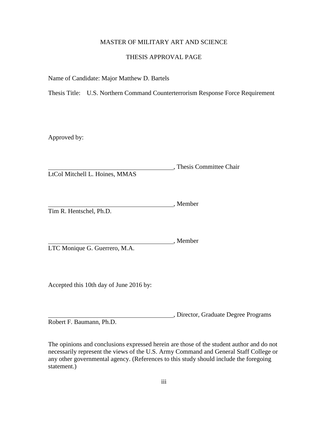## MASTER OF MILITARY ART AND SCIENCE

## THESIS APPROVAL PAGE

Name of Candidate: Major Matthew D. Bartels

Thesis Title: U.S. Northern Command Counterterrorism Response Force Requirement

Approved by:

, Thesis Committee Chair LtCol Mitchell L. Hoines, MMAS

Member Tim R. Hentschel, Ph.D.

, Member LTC Monique G. Guerrero, M.A.

Accepted this 10th day of June 2016 by:

, Director, Graduate Degree Programs

Robert F. Baumann, Ph.D.

The opinions and conclusions expressed herein are those of the student author and do not necessarily represent the views of the U.S. Army Command and General Staff College or any other governmental agency. (References to this study should include the foregoing statement.)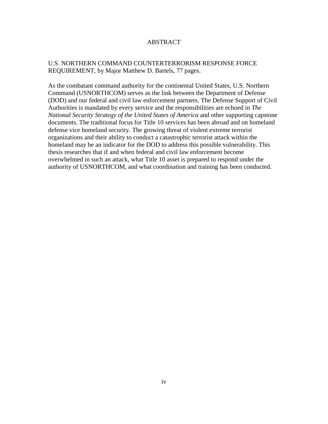## ABSTRACT

# U.S. NORTHERN COMMAND COUNTERTERRORISM RESPONSE FORCE REQUIREMENT, by Major Matthew D. Bartels, 77 pages.

As the combatant command authority for the continental United States, U.S. Northern Command (USNORTHCOM) serves as the link between the Department of Defense (DOD) and our federal and civil law enforcement partners. The Defense Support of Civil Authorities is mandated by every service and the responsibilities are echoed in *The National Security Strategy of the United States of America* and other supporting capstone documents. The traditional focus for Title 10 services has been abroad and on homeland defense vice homeland security. The growing threat of violent extreme terrorist organizations and their ability to conduct a catastrophic terrorist attack within the homeland may be an indicator for the DOD to address this possible vulnerability. This thesis researches that if and when federal and civil law enforcement become overwhelmed in such an attack, what Title 10 asset is prepared to respond under the authority of USNORTHCOM, and what coordination and training has been conducted.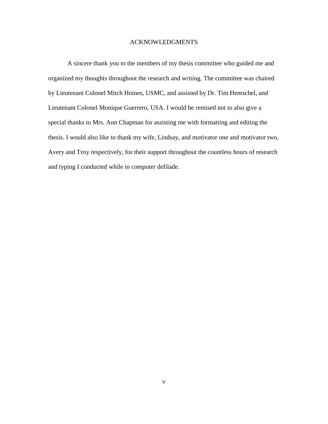## ACKNOWLEDGMENTS

A sincere thank you to the members of my thesis committee who guided me and organized my thoughts throughout the research and writing. The committee was chaired by Lieutenant Colonel Mitch Hoines, USMC, and assisted by Dr. Tim Hentschel, and Lieutenant Colonel Monique Guerrero, USA. I would be remised not to also give a special thanks to Mrs. Ann Chapman for assisting me with formatting and editing the thesis. I would also like to thank my wife, Lindsay, and motivator one and motivator two, Avery and Troy respectively, for their support throughout the countless hours of research and typing I conducted while in computer defilade.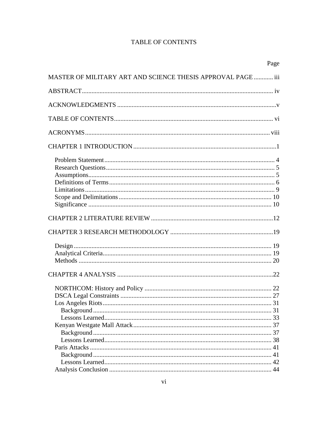# **TABLE OF CONTENTS**

| Page                                                         |  |
|--------------------------------------------------------------|--|
| MASTER OF MILITARY ART AND SCIENCE THESIS APPROVAL PAGE  iii |  |
|                                                              |  |
|                                                              |  |
|                                                              |  |
|                                                              |  |
|                                                              |  |
|                                                              |  |
|                                                              |  |
|                                                              |  |
|                                                              |  |
|                                                              |  |
|                                                              |  |
|                                                              |  |
|                                                              |  |
|                                                              |  |
|                                                              |  |
|                                                              |  |
|                                                              |  |
|                                                              |  |
|                                                              |  |
|                                                              |  |
|                                                              |  |
|                                                              |  |
|                                                              |  |
|                                                              |  |
|                                                              |  |
|                                                              |  |
|                                                              |  |
|                                                              |  |
|                                                              |  |
|                                                              |  |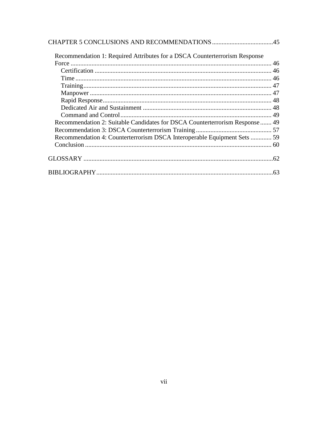| Recommendation 1: Required Attributes for a DSCA Counterterrorism Response   |  |
|------------------------------------------------------------------------------|--|
|                                                                              |  |
|                                                                              |  |
|                                                                              |  |
|                                                                              |  |
|                                                                              |  |
|                                                                              |  |
|                                                                              |  |
|                                                                              |  |
| Recommendation 2: Suitable Candidates for DSCA Counterterrorism Response  49 |  |
|                                                                              |  |
| Recommendation 4: Counterterrorism DSCA Interoperable Equipment Sets  59     |  |
|                                                                              |  |
|                                                                              |  |
|                                                                              |  |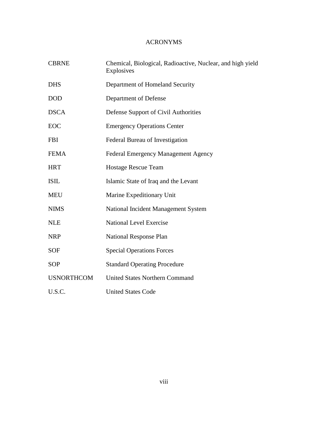# ACRONYMS

| <b>CBRNE</b>      | Chemical, Biological, Radioactive, Nuclear, and high yield<br>Explosives |  |  |
|-------------------|--------------------------------------------------------------------------|--|--|
| <b>DHS</b>        | Department of Homeland Security                                          |  |  |
| <b>DOD</b>        | Department of Defense                                                    |  |  |
| <b>DSCA</b>       | Defense Support of Civil Authorities                                     |  |  |
| EOC               | <b>Emergency Operations Center</b>                                       |  |  |
| <b>FBI</b>        | Federal Bureau of Investigation                                          |  |  |
| <b>FEMA</b>       | Federal Emergency Management Agency                                      |  |  |
| <b>HRT</b>        | <b>Hostage Rescue Team</b>                                               |  |  |
| <b>ISIL</b>       | Islamic State of Iraq and the Levant                                     |  |  |
| <b>MEU</b>        | Marine Expeditionary Unit                                                |  |  |
| <b>NIMS</b>       | National Incident Management System                                      |  |  |
| <b>NLE</b>        | <b>National Level Exercise</b>                                           |  |  |
| <b>NRP</b>        | <b>National Response Plan</b>                                            |  |  |
| <b>SOF</b>        | <b>Special Operations Forces</b>                                         |  |  |
| <b>SOP</b>        | <b>Standard Operating Procedure</b>                                      |  |  |
| <b>USNORTHCOM</b> | <b>United States Northern Command</b>                                    |  |  |
| U.S.C.            | <b>United States Code</b>                                                |  |  |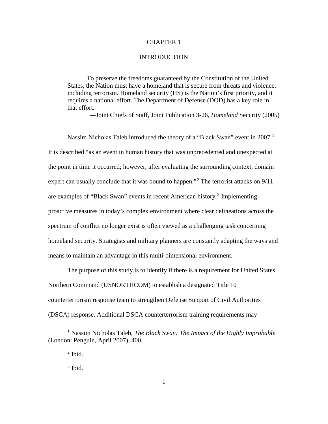## CHAPTER 1

#### **INTRODUCTION**

To preserve the freedoms guaranteed by the Constitution of the United States, the Nation must have a homeland that is secure from threats and violence, including terrorism. Homeland security (HS) is the Nation's first priority, and it requires a national effort. The Department of Defense (DOD) has a key role in that effort.

―Joint Chiefs of Staff, Joint Publication 3-26, *Homeland* Security (2005)

Nassim Nicholas Taleb introduced the theory of a "Black Swan" event in 2007.<sup>[1](#page-8-0)</sup> It is described "as an event in human history that was unprecedented and unexpected at the point in time it occurred; however, after evaluating the surrounding context, domain expert can usually conclude that it was bound to happen."<sup>[2](#page-8-1)</sup> The terrorist attacks on  $9/11$ are examples of "Black Swan" events in recent American history. [3](#page-8-2) Implementing proactive measures in today's complex environment where clear delineations across the spectrum of conflict no longer exist is often viewed as a challenging task concerning homeland security. Strategists and military planners are constantly adapting the ways and means to maintain an advantage in this multi-dimensional environment.

The purpose of this study is to identify if there is a requirement for United States Northern Command (USNORTHCOM) to establish a designated Title 10 counterterrorism response team to strengthen Defense Support of Civil Authorities (DSCA) response. Additional DSCA counterterrorism training requirements may

<span id="page-8-2"></span><span id="page-8-1"></span><span id="page-8-0"></span> <sup>1</sup> Nassim Nicholas Taleb, *The Black Swan: The Impact of the Highly Improbable* (London: Penguin, April 2007), 400.

 $<sup>2</sup>$  Ibid.</sup>

 $3$  Ibid.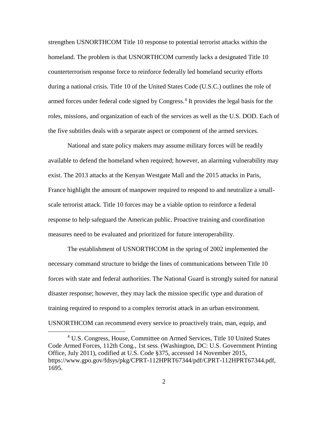strengthen USNORTHCOM Title 10 response to potential terrorist attacks within the homeland. The problem is that USNORTHCOM currently lacks a designated Title 10 counterterrorism response force to reinforce federally led homeland security efforts during a national crisis. Title 10 of the United States Code (U.S.C.) outlines the role of armed forces under federal code signed by Congress.<sup>[4](#page-9-0)</sup> It provides the legal basis for the roles, missions, and organization of each of the services as well as the U.S. DOD. Each of the five subtitles deals with a separate aspect or component of the armed services.

National and state policy makers may assume military forces will be readily available to defend the homeland when required; however, an alarming vulnerability may exist. The 2013 attacks at the Kenyan Westgate Mall and the 2015 attacks in Paris, France highlight the amount of manpower required to respond to and neutralize a smallscale terrorist attack. Title 10 forces may be a viable option to reinforce a federal response to help safeguard the American public. Proactive training and coordination measures need to be evaluated and prioritized for future interoperability.

The establishment of USNORTHCOM in the spring of 2002 implemented the necessary command structure to bridge the lines of communications between Title 10 forces with state and federal authorities. The National Guard is strongly suited for natural disaster response; however, they may lack the mission specific type and duration of training required to respond to a complex terrorist attack in an urban environment. USNORTHCOM can recommend every service to proactively train, man, equip, and

<span id="page-9-0"></span> <sup>4</sup> U.S. Congress, House, Committee on Armed Services, Title 10 United States Code Armed Forces, 112th Cong., 1st sess. (Washington, DC: U.S. Government Printing Office, July 2011), codified at U.S. Code §375, accessed 14 November 2015, https://www.gpo.gov/fdsys/pkg/CPRT-112HPRT67344/pdf/CPRT-112HPRT67344.pdf, 1695.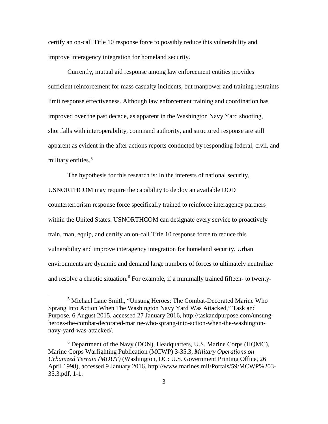certify an on-call Title 10 response force to possibly reduce this vulnerability and improve interagency integration for homeland security.

Currently, mutual aid response among law enforcement entities provides sufficient reinforcement for mass casualty incidents, but manpower and training restraints limit response effectiveness. Although law enforcement training and coordination has improved over the past decade, as apparent in the Washington Navy Yard shooting, shortfalls with interoperability, command authority, and structured response are still apparent as evident in the after actions reports conducted by responding federal, civil, and military entities. [5](#page-10-0)

The hypothesis for this research is: In the interests of national security, USNORTHCOM may require the capability to deploy an available DOD counterterrorism response force specifically trained to reinforce interagency partners within the United States. USNORTHCOM can designate every service to proactively train, man, equip, and certify an on-call Title 10 response force to reduce this vulnerability and improve interagency integration for homeland security. Urban environments are dynamic and demand large numbers of forces to ultimately neutralize and resolve a chaotic situation.<sup>[6](#page-10-1)</sup> For example, if a minimally trained fifteen- to twenty-

<span id="page-10-0"></span> <sup>5</sup> Michael Lane Smith, "Unsung Heroes: The Combat-Decorated Marine Who Sprang Into Action When The Washington Navy Yard Was Attacked," Task and Purpose, 6 August 2015, accessed 27 January 2016, http://taskandpurpose.com/unsungheroes-the-combat-decorated-marine-who-sprang-into-action-when-the-washingtonnavy-yard-was-attacked/.

<span id="page-10-1"></span><sup>6</sup> Department of the Navy (DON), Headquarters, U.S. Marine Corps (HQMC), Marine Corps Warfighting Publication (MCWP) 3-35.3, *Military Operations on Urbanized Terrain (MOUT)* (Washington, DC: U.S. Government Printing Office, 26 April 1998), accessed 9 January 2016, http://www.marines.mil/Portals/59/MCWP%203- 35.3.pdf, 1-1.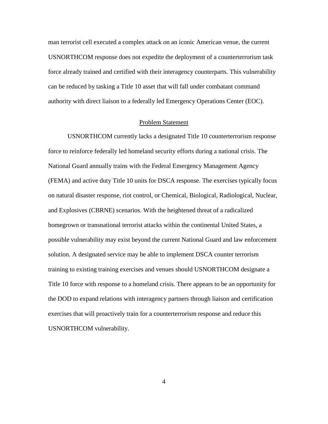man terrorist cell executed a complex attack on an iconic American venue, the current USNORTHCOM response does not expedite the deployment of a counterterrorism task force already trained and certified with their interagency counterparts. This vulnerability can be reduced by tasking a Title 10 asset that will fall under combatant command authority with direct liaison to a federally led Emergency Operations Center (EOC).

## Problem Statement

USNORTHCOM currently lacks a designated Title 10 counterterrorism response force to reinforce federally led homeland security efforts during a national crisis. The National Guard annually trains with the Federal Emergency Management Agency (FEMA) and active duty Title 10 units for DSCA response. The exercises typically focus on natural disaster response, riot control, or Chemical, Biological, Radiological, Nuclear, and Explosives (CBRNE) scenarios. With the heightened threat of a radicalized homegrown or transnational terrorist attacks within the continental United States, a possible vulnerability may exist beyond the current National Guard and law enforcement solution. A designated service may be able to implement DSCA counter terrorism training to existing training exercises and venues should USNORTHCOM designate a Title 10 force with response to a homeland crisis. There appears to be an opportunity for the DOD to expand relations with interagency partners through liaison and certification exercises that will proactively train for a counterterrorism response and reduce this USNORTHCOM vulnerability.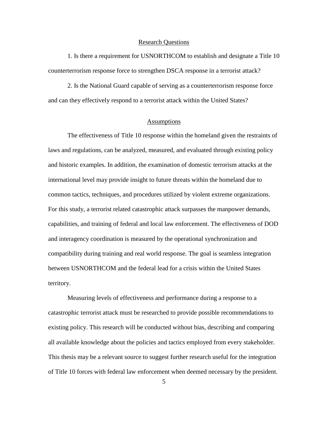#### Research Questions

1. Is there a requirement for USNORTHCOM to establish and designate a Title 10 counterterrorism response force to strengthen DSCA response in a terrorist attack?

2. Is the National Guard capable of serving as a counterterrorism response force and can they effectively respond to a terrorist attack within the United States?

#### **Assumptions**

The effectiveness of Title 10 response within the homeland given the restraints of laws and regulations, can be analyzed, measured, and evaluated through existing policy and historic examples. In addition, the examination of domestic terrorism attacks at the international level may provide insight to future threats within the homeland due to common tactics, techniques, and procedures utilized by violent extreme organizations. For this study, a terrorist related catastrophic attack surpasses the manpower demands, capabilities, and training of federal and local law enforcement. The effectiveness of DOD and interagency coordination is measured by the operational synchronization and compatibility during training and real world response. The goal is seamless integration between USNORTHCOM and the federal lead for a crisis within the United States territory.

Measuring levels of effectiveness and performance during a response to a catastrophic terrorist attack must be researched to provide possible recommendations to existing policy. This research will be conducted without bias, describing and comparing all available knowledge about the policies and tactics employed from every stakeholder. This thesis may be a relevant source to suggest further research useful for the integration of Title 10 forces with federal law enforcement when deemed necessary by the president.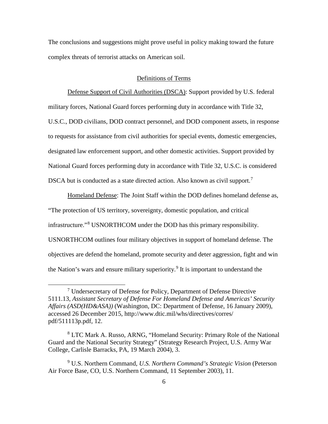The conclusions and suggestions might prove useful in policy making toward the future complex threats of terrorist attacks on American soil.

## Definitions of Terms

Defense Support of Civil Authorities (DSCA): Support provided by U.S. federal military forces, National Guard forces performing duty in accordance with Title 32, U.S.C., DOD civilians, DOD contract personnel, and DOD component assets, in response to requests for assistance from civil authorities for special events, domestic emergencies, designated law enforcement support, and other domestic activities. Support provided by National Guard forces performing duty in accordance with Title 32, U.S.C. is considered DSCA but is conducted as a state directed action. Also known as civil support.<sup>[7](#page-13-0)</sup>

Homeland Defense: The Joint Staff within the DOD defines homeland defense as, "The protection of US territory, sovereignty, domestic population, and critical infrastructure."[8](#page-13-1) USNORTHCOM under the DOD has this primary responsibility. USNORTHCOM outlines four military objectives in support of homeland defense. The objectives are defend the homeland, promote security and deter aggression, fight and win the Nation's wars and ensure military superiority.<sup>[9](#page-13-2)</sup> It is important to understand the

<span id="page-13-0"></span> <sup>7</sup> Undersecretary of Defense for Policy, Department of Defense Directive 5111.13, *Assistant Secretary of Defense For Homeland Defense and Americas' Security Affairs (ASD(HD&ASA))* (Washington, DC: Department of Defense, 16 January 2009), accessed 26 December 2015, http://www.dtic.mil/whs/directives/corres/ pdf/511113p.pdf, 12.

<span id="page-13-1"></span><sup>8</sup> LTC Mark A. Russo, ARNG, "Homeland Security: Primary Role of the National Guard and the National Security Strategy" (Strategy Research Project, U.S. Army War College, Carlisle Barracks, PA, 19 March 2004), 3.

<span id="page-13-2"></span><sup>9</sup> U.S. Northern Command, *U.S. Northern Command's Strategic Vision* (Peterson Air Force Base, CO, U.S. Northern Command, 11 September 2003), 11.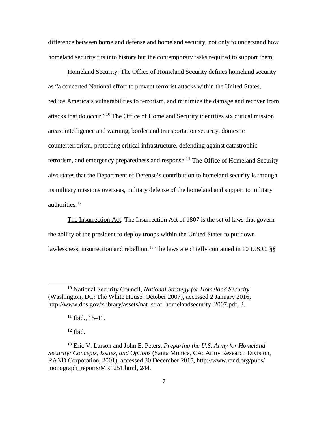difference between homeland defense and homeland security, not only to understand how homeland security fits into history but the contemporary tasks required to support them.

Homeland Security: The Office of Homeland Security defines homeland security as "a concerted National effort to prevent terrorist attacks within the United States, reduce America's vulnerabilities to terrorism, and minimize the damage and recover from attacks that do occur."[10](#page-14-0) The Office of Homeland Security identifies six critical mission areas: intelligence and warning, border and transportation security, domestic counterterrorism, protecting critical infrastructure, defending against catastrophic terrorism, and emergency preparedness and response.<sup>[11](#page-14-1)</sup> The Office of Homeland Security also states that the Department of Defense's contribution to homeland security is through its military missions overseas, military defense of the homeland and support to military authorities.[12](#page-14-2)

The Insurrection Act: The Insurrection Act of 1807 is the set of laws that govern the ability of the president to deploy troops within the United States to put down lawlessness, insurrection and rebellion.<sup>[13](#page-14-3)</sup> The laws are chiefly contained in 10 U.S.C. §§

 $12$  Ibid.

<span id="page-14-0"></span> <sup>10</sup> National Security Council, *National Strategy for Homeland Security* (Washington, DC: The White House, October 2007), accessed 2 January 2016, http://www.dhs.gov/xlibrary/assets/nat\_strat\_homelandsecurity\_2007.pdf, 3.

 $11$  Ibid., 15-41.

<span id="page-14-3"></span><span id="page-14-2"></span><span id="page-14-1"></span><sup>13</sup> Eric V. Larson and John E. Peters, *Preparing the U.S. Army for Homeland Security: Concepts, Issues, and Options* (Santa Monica, CA: Army Research Division, RAND Corporation, 2001), accessed 30 December 2015, http://www.rand.org/pubs/ monograph\_reports/MR1251.html, 244.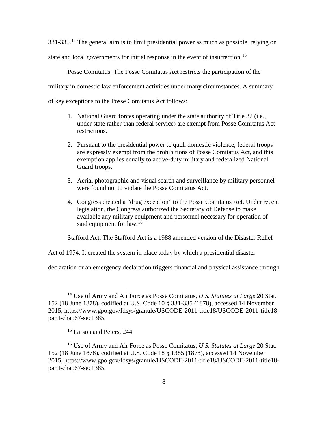331-335.<sup>[14](#page-15-0)</sup> The general aim is to limit presidential power as much as possible, relying on

state and local governments for initial response in the event of insurrection.<sup>[15](#page-15-1)</sup>

Posse Comitatus: The Posse Comitatus Act restricts the participation of the

military in domestic law enforcement activities under many circumstances. A summary

of key exceptions to the Posse Comitatus Act follows:

- 1. National Guard forces operating under the state authority of Title 32 (i.e., under state rather than federal service) are exempt from Posse Comitatus Act restrictions.
- 2. Pursuant to the presidential power to quell domestic violence, federal troops are expressly exempt from the prohibitions of Posse Comitatus Act, and this exemption applies equally to active-duty military and federalized National Guard troops.
- 3. Aerial photographic and visual search and surveillance by military personnel were found not to violate the Posse Comitatus Act.
- 4. Congress created a "drug exception" to the Posse Comitatus Act. Under recent legislation, the Congress authorized the Secretary of Defense to make available any military equipment and personnel necessary for operation of said equipment for law.<sup>[16](#page-15-2)</sup>

Stafford Act: The Stafford Act is a 1988 amended version of the Disaster Relief

Act of 1974. It created the system in place today by which a presidential disaster

declaration or an emergency declaration triggers financial and physical assistance through

<span id="page-15-0"></span> <sup>14</sup> Use of Army and Air Force as Posse Comitatus, *U.S. Statutes at Large* 20 Stat. 152 (18 June 1878), codified at U.S. Code 10 § 331-335 (1878), accessed 14 November 2015, https://www.gpo.gov/fdsys/granule/USCODE-2011-title18/USCODE-2011-title18 partI-chap67-sec1385.

<sup>&</sup>lt;sup>15</sup> Larson and Peters, 244.

<span id="page-15-2"></span><span id="page-15-1"></span><sup>16</sup> Use of Army and Air Force as Posse Comitatus, *U.S. Statutes at Large* 20 Stat. 152 (18 June 1878), codified at U.S. Code 18 § 1385 (1878), accessed 14 November 2015, https://www.gpo.gov/fdsys/granule/USCODE-2011-title18/USCODE-2011-title18 partI-chap67-sec1385.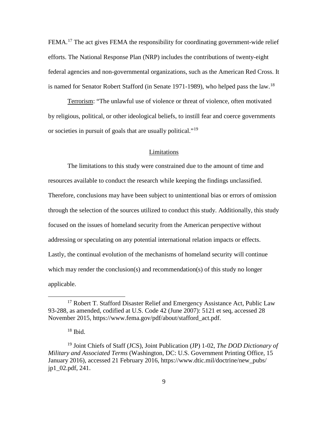FEMA.<sup>[17](#page-16-0)</sup> The act gives FEMA the responsibility for coordinating government-wide relief efforts. The National Response Plan (NRP) includes the contributions of twenty-eight federal agencies and non-governmental organizations, such as the American Red Cross. It is named for Senator Robert Stafford (in Senate 1971-1989), who helped pass the law.<sup>[18](#page-16-1)</sup>

Terrorism: "The unlawful use of violence or threat of violence, often motivated by religious, political, or other ideological beliefs, to instill fear and coerce governments or societies in pursuit of goals that are usually political."[19](#page-16-2)

#### Limitations

The limitations to this study were constrained due to the amount of time and resources available to conduct the research while keeping the findings unclassified. Therefore, conclusions may have been subject to unintentional bias or errors of omission through the selection of the sources utilized to conduct this study. Additionally, this study focused on the issues of homeland security from the American perspective without addressing or speculating on any potential international relation impacts or effects. Lastly, the continual evolution of the mechanisms of homeland security will continue which may render the conclusion(s) and recommendation(s) of this study no longer applicable.

<span id="page-16-0"></span><sup>&</sup>lt;sup>17</sup> Robert T. Stafford Disaster Relief and Emergency Assistance Act, Public Law 93-288, as amended, codified at U.S. Code 42 (June 2007): 5121 et seq, accessed 28 November 2015, https://www.fema.gov/pdf/about/stafford\_act.pdf.

 $18$  Ibid.

<span id="page-16-2"></span><span id="page-16-1"></span><sup>19</sup> Joint Chiefs of Staff (JCS), Joint Publication (JP) 1-02, *The DOD Dictionary of Military and Associated Terms* (Washington, DC: U.S. Government Printing Office, 15 January 2016), accessed 21 February 2016, https://www.dtic.mil/doctrine/new\_pubs/ jp1\_02.pdf, 241.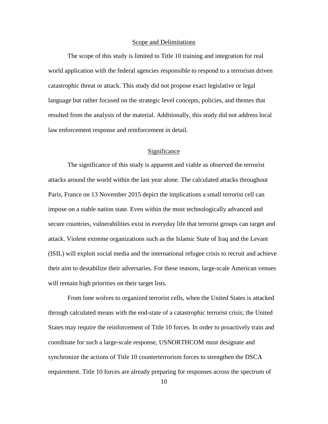#### Scope and Delimitations

The scope of this study is limited to Title 10 training and integration for real world application with the federal agencies responsible to respond to a terrorism driven catastrophic threat or attack. This study did not propose exact legislative or legal language but rather focused on the strategic level concepts, policies, and themes that resulted from the analysis of the material. Additionally, this study did not address local law enforcement response and reinforcement in detail.

## **Significance**

The significance of this study is apparent and viable as observed the terrorist attacks around the world within the last year alone. The calculated attacks throughout Paris, France on 13 November 2015 depict the implications a small terrorist cell can impose on a stable nation state. Even within the most technologically advanced and secure countries, vulnerabilities exist in everyday life that terrorist groups can target and attack. Violent extreme organizations such as the Islamic State of Iraq and the Levant (ISIL) will exploit social media and the international refugee crisis to recruit and achieve their aim to destabilize their adversaries. For these reasons, large-scale American venues will remain high priorities on their target lists.

From lone wolves to organized terrorist cells, when the United States is attacked through calculated means with the end-state of a catastrophic terrorist crisis; the United States may require the reinforcement of Title 10 forces. In order to proactively train and coordinate for such a large-scale response, USNORTHCOM must designate and synchronize the actions of Title 10 counterterrorism forces to strengthen the DSCA requirement. Title 10 forces are already preparing for responses across the spectrum of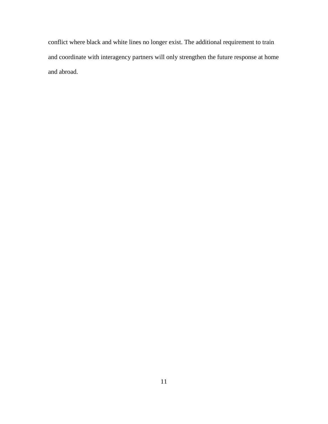conflict where black and white lines no longer exist. The additional requirement to train and coordinate with interagency partners will only strengthen the future response at home and abroad.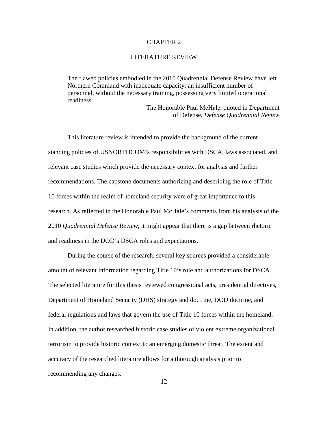### CHAPTER 2

#### LITERATURE REVIEW

The flawed policies embodied in the 2010 Quadrennial Defense Review have left Northern Command with inadequate capacity: an insufficient number of personnel, without the necessary training, possessing very limited operational readiness.

> ―The Honorable Paul McHale, quoted in Department of Defense, *Defense Quadrennial Review*

This literature review is intended to provide the background of the current standing policies of USNORTHCOM's responsibilities with DSCA, laws associated, and relevant case studies which provide the necessary context for analysis and further recommendations. The capstone documents authorizing and describing the role of Title 10 forces within the realm of homeland security were of great importance to this research. As reflected in the Honorable Paul McHale's comments from his analysis of the 2010 *Quadrennial Defense Review*, it might appear that there is a gap between rhetoric and readiness in the DOD's DSCA roles and expectations.

During the course of the research, several key sources provided a considerable amount of relevant information regarding Title 10's role and authorizations for DSCA. The selected literature for this thesis reviewed congressional acts, presidential directives, Department of Homeland Security (DHS) strategy and doctrine, DOD doctrine, and federal regulations and laws that govern the use of Title 10 forces within the homeland. In addition, the author researched historic case studies of violent extreme organizational terrorism to provide historic context to an emerging domestic threat. The extent and accuracy of the researched literature allows for a thorough analysis prior to recommending any changes.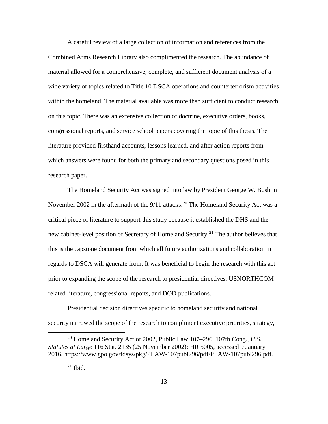A careful review of a large collection of information and references from the Combined Arms Research Library also complimented the research. The abundance of material allowed for a comprehensive, complete, and sufficient document analysis of a wide variety of topics related to Title 10 DSCA operations and counterterrorism activities within the homeland. The material available was more than sufficient to conduct research on this topic. There was an extensive collection of doctrine, executive orders, books, congressional reports, and service school papers covering the topic of this thesis. The literature provided firsthand accounts, lessons learned, and after action reports from which answers were found for both the primary and secondary questions posed in this research paper.

The Homeland Security Act was signed into law by President George W. Bush in November [20](#page-20-0)02 in the aftermath of the  $9/11$  attacks.<sup>20</sup> The Homeland Security Act was a critical piece of literature to support this study because it established the DHS and the new cabinet-level position of Secretary of Homeland Security.<sup>[21](#page-20-1)</sup> The author believes that this is the capstone document from which all future authorizations and collaboration in regards to DSCA will generate from. It was beneficial to begin the research with this act prior to expanding the scope of the research to presidential directives, USNORTHCOM related literature, congressional reports, and DOD publications.

Presidential decision directives specific to homeland security and national security narrowed the scope of the research to compliment executive priorities, strategy,

<span id="page-20-1"></span><span id="page-20-0"></span> <sup>20</sup> Homeland Security Act of 2002, Public Law 107–296, 107th Cong., *U.S. Statutes at Large* 116 Stat. 2135 (25 November 2002): HR 5005, accessed 9 January 2016, https://www.gpo.gov/fdsys/pkg/PLAW-107publ296/pdf/PLAW-107publ296.pdf.

 $21$  Ibid.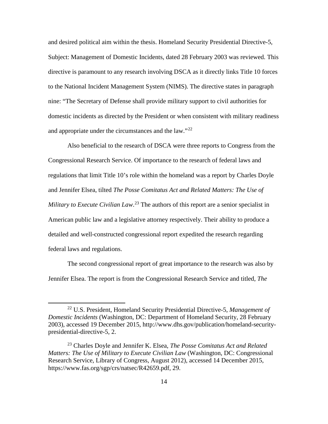and desired political aim within the thesis. Homeland Security Presidential Directive-5, Subject: Management of Domestic Incidents, dated 28 February 2003 was reviewed. This directive is paramount to any research involving DSCA as it directly links Title 10 forces to the National Incident Management System (NIMS). The directive states in paragraph nine: "The Secretary of Defense shall provide military support to civil authorities for domestic incidents as directed by the President or when consistent with military readiness and appropriate under the circumstances and the law."<sup>[22](#page-21-0)</sup>

Also beneficial to the research of DSCA were three reports to Congress from the Congressional Research Service. Of importance to the research of federal laws and regulations that limit Title 10's role within the homeland was a report by Charles Doyle and Jennifer Elsea, tilted *The Posse Comitatus Act and Related Matters: The Use of Military to Execute Civilian Law*. [23](#page-21-1) The authors of this report are a senior specialist in American public law and a legislative attorney respectively. Their ability to produce a detailed and well-constructed congressional report expedited the research regarding federal laws and regulations.

The second congressional report of great importance to the research was also by Jennifer Elsea. The report is from the Congressional Research Service and titled, *The* 

<span id="page-21-0"></span> <sup>22</sup> U.S. President, Homeland Security Presidential Directive-5, *Management of Domestic Incidents* (Washington, DC: Department of Homeland Security, 28 February 2003), accessed 19 December 2015, http://www.dhs.gov/publication/homeland-securitypresidential-directive-5, 2.

<span id="page-21-1"></span><sup>23</sup> Charles Doyle and Jennifer K. Elsea, *The Posse Comitatus Act and Related Matters: The Use of Military to Execute Civilian Law* (Washington, DC: Congressional Research Service, Library of Congress, August 2012), accessed 14 December 2015, https://www.fas.org/sgp/crs/natsec/R42659.pdf, 29.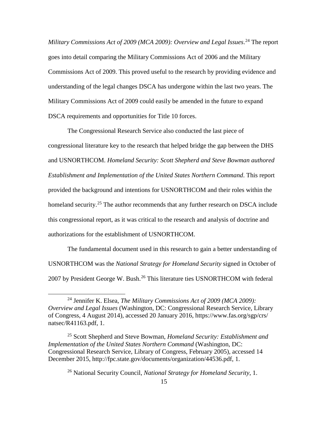*Military Commissions Act of 2009 (MCA 2009): Overview and Legal Issues*. [24](#page-22-0) The report goes into detail comparing the Military Commissions Act of 2006 and the Military Commissions Act of 2009. This proved useful to the research by providing evidence and understanding of the legal changes DSCA has undergone within the last two years. The Military Commissions Act of 2009 could easily be amended in the future to expand DSCA requirements and opportunities for Title 10 forces.

The Congressional Research Service also conducted the last piece of congressional literature key to the research that helped bridge the gap between the DHS and USNORTHCOM. *Homeland Security: Scott Shepherd and Steve Bowman authored Establishment and Implementation of the United States Northern Command*. This report provided the background and intentions for USNORTHCOM and their roles within the homeland security.<sup>[25](#page-22-1)</sup> The author recommends that any further research on DSCA include this congressional report, as it was critical to the research and analysis of doctrine and authorizations for the establishment of USNORTHCOM.

The fundamental document used in this research to gain a better understanding of USNORTHCOM was the *National Strategy for Homeland Security* signed in October of 2007 by President George W. Bush.<sup>[26](#page-22-2)</sup> This literature ties USNORTHCOM with federal

<sup>26</sup> National Security Council, *National Strategy for Homeland Security*, 1.

<span id="page-22-0"></span> <sup>24</sup> Jennifer K. Elsea, *The Military Commissions Act of 2009 (MCA 2009): Overview and Legal Issues* (Washington, DC: Congressional Research Service, Library of Congress, 4 August 2014), accessed 20 January 2016, https://www.fas.org/sgp/crs/ natsec/R41163.pdf, 1.

<span id="page-22-2"></span><span id="page-22-1"></span><sup>25</sup> Scott Shepherd and Steve Bowman, *Homeland Security: Establishment and Implementation of the United States Northern Command* (Washington, DC: Congressional Research Service, Library of Congress, February 2005), accessed 14 December 2015, http://fpc.state.gov/documents/organization/44536.pdf, 1.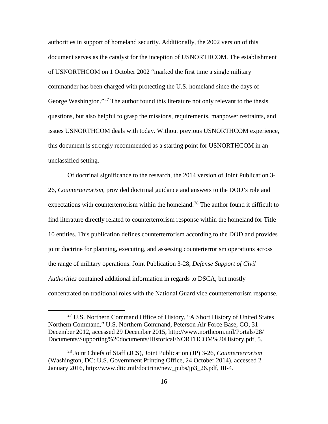authorities in support of homeland security. Additionally, the 2002 version of this document serves as the catalyst for the inception of USNORTHCOM. The establishment of USNORTHCOM on 1 October 2002 "marked the first time a single military commander has been charged with protecting the U.S. homeland since the days of George Washington."<sup>[27](#page-23-0)</sup> The author found this literature not only relevant to the thesis questions, but also helpful to grasp the missions, requirements, manpower restraints, and issues USNORTHCOM deals with today. Without previous USNORTHCOM experience, this document is strongly recommended as a starting point for USNORTHCOM in an unclassified setting.

Of doctrinal significance to the research, the 2014 version of Joint Publication 3- 26, *Counterterrorism,* provided doctrinal guidance and answers to the DOD's role and expectations with counterterrorism within the homeland.<sup>[28](#page-23-1)</sup> The author found it difficult to find literature directly related to counterterrorism response within the homeland for Title 10 entities. This publication defines counterterrorism according to the DOD and provides joint doctrine for planning, executing, and assessing counterterrorism operations across the range of military operations. Joint Publication 3-28, *Defense Support of Civil Authorities* contained additional information in regards to DSCA, but mostly concentrated on traditional roles with the National Guard vice counterterrorism response.

<span id="page-23-0"></span><sup>&</sup>lt;sup>27</sup> U.S. Northern Command Office of History, "A Short History of United States Northern Command," U.S. Northern Command, Peterson Air Force Base, CO, 31 December 2012, accessed 29 December 2015, http://www.northcom.mil/Portals/28/ Documents/Supporting%20documents/Historical/NORTHCOM%20History.pdf, 5.

<span id="page-23-1"></span><sup>28</sup> Joint Chiefs of Staff (JCS), Joint Publication (JP) 3-26, *Counterterrorism* (Washington, DC: U.S. Government Printing Office, 24 October 2014), accessed 2 January 2016, http://www.dtic.mil/doctrine/new\_pubs/jp3\_26.pdf, III-4.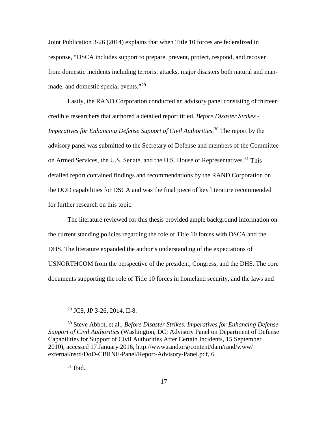Joint Publication 3-26 (2014) explains that when Title 10 forces are federalized in response, "DSCA includes support to prepare, prevent, protect, respond, and recover from domestic incidents including terrorist attacks, major disasters both natural and man-made, and domestic special events."<sup>[29](#page-24-0)</sup>

Lastly, the RAND Corporation conducted an advisory panel consisting of thirteen credible researchers that authored a detailed report titled, *Before Disaster Strikes - Imperatives for Enhancing Defense Support of Civil Authorities*. [30](#page-24-1) The report by the advisory panel was submitted to the Secretary of Defense and members of the Committee on Armed Services, the U.S. Senate, and the U.S. House of Representatives.<sup>[31](#page-24-2)</sup> This detailed report contained findings and recommendations by the RAND Corporation on the DOD capabilities for DSCA and was the final piece of key literature recommended for further research on this topic.

The literature reviewed for this thesis provided ample background information on the current standing policies regarding the role of Title 10 forces with DSCA and the DHS. The literature expanded the author's understanding of the expectations of USNORTHCOM from the perspective of the president, Congress, and the DHS. The core documents supporting the role of Title 10 forces in homeland security, and the laws and

 $31$  Ibid.

 <sup>29</sup> JCS, JP 3-26, 2014, II-8.

<span id="page-24-2"></span><span id="page-24-1"></span><span id="page-24-0"></span><sup>30</sup> Steve Abbot, et al., *Before Disaster Strikes, Imperatives for Enhancing Defense Support of Civil Authorities* (Washington, DC: Advisory Panel on Department of Defense Capabilities for Support of Civil Authorities After Certain Incidents, 15 September 2010), accessed 17 January 2016, http://www.rand.org/content/dam/rand/www/ external/nsrd/DoD-CBRNE-Panel/Report-Advisory-Panel.pdf, 6.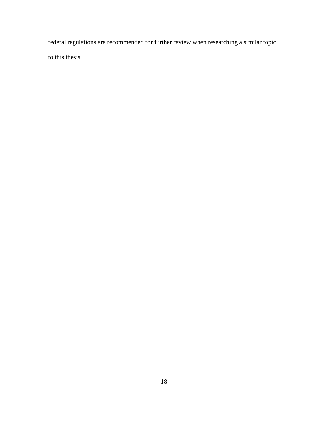federal regulations are recommended for further review when researching a similar topic to this thesis.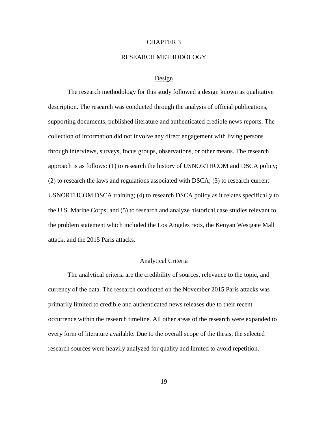#### CHAPTER 3

#### RESEARCH METHODOLOGY

#### Design

The research methodology for this study followed a design known as qualitative description. The research was conducted through the analysis of official publications, supporting documents, published literature and authenticated credible news reports. The collection of information did not involve any direct engagement with living persons through interviews, surveys, focus groups, observations, or other means. The research approach is as follows: (1) to research the history of USNORTHCOM and DSCA policy; (2) to research the laws and regulations associated with DSCA; (3) to research current USNORTHCOM DSCA training; (4) to research DSCA policy as it relates specifically to the U.S. Marine Corps; and (5) to research and analyze historical case studies relevant to the problem statement which included the Los Angeles riots, the Kenyan Westgate Mall attack, and the 2015 Paris attacks.

## Analytical Criteria

The analytical criteria are the credibility of sources, relevance to the topic, and currency of the data. The research conducted on the November 2015 Paris attacks was primarily limited to credible and authenticated news releases due to their recent occurrence within the research timeline. All other areas of the research were expanded to every form of literature available. Due to the overall scope of the thesis, the selected research sources were heavily analyzed for quality and limited to avoid repetition.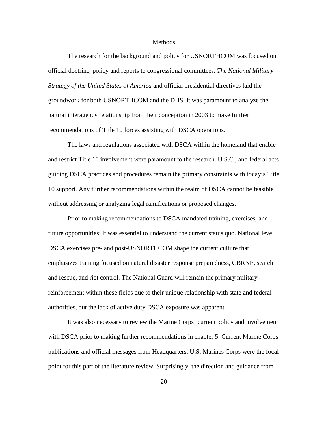#### Methods

The research for the background and policy for USNORTHCOM was focused on official doctrine, policy and reports to congressional committees. *The National Military Strategy of the United States of America* and official presidential directives laid the groundwork for both USNORTHCOM and the DHS. It was paramount to analyze the natural interagency relationship from their conception in 2003 to make further recommendations of Title 10 forces assisting with DSCA operations.

The laws and regulations associated with DSCA within the homeland that enable and restrict Title 10 involvement were paramount to the research. U.S.C., and federal acts guiding DSCA practices and procedures remain the primary constraints with today's Title 10 support. Any further recommendations within the realm of DSCA cannot be feasible without addressing or analyzing legal ramifications or proposed changes.

Prior to making recommendations to DSCA mandated training, exercises, and future opportunities; it was essential to understand the current status quo. National level DSCA exercises pre- and post-USNORTHCOM shape the current culture that emphasizes training focused on natural disaster response preparedness, CBRNE, search and rescue, and riot control. The National Guard will remain the primary military reinforcement within these fields due to their unique relationship with state and federal authorities, but the lack of active duty DSCA exposure was apparent.

It was also necessary to review the Marine Corps' current policy and involvement with DSCA prior to making further recommendations in chapter 5. Current Marine Corps publications and official messages from Headquarters, U.S. Marines Corps were the focal point for this part of the literature review. Surprisingly, the direction and guidance from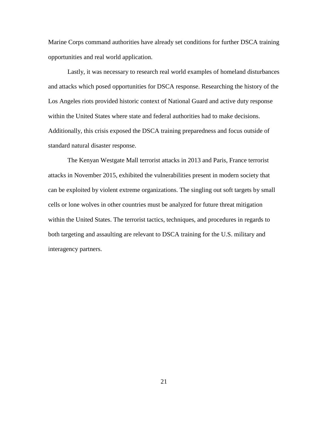Marine Corps command authorities have already set conditions for further DSCA training opportunities and real world application.

Lastly, it was necessary to research real world examples of homeland disturbances and attacks which posed opportunities for DSCA response. Researching the history of the Los Angeles riots provided historic context of National Guard and active duty response within the United States where state and federal authorities had to make decisions. Additionally, this crisis exposed the DSCA training preparedness and focus outside of standard natural disaster response.

The Kenyan Westgate Mall terrorist attacks in 2013 and Paris, France terrorist attacks in November 2015, exhibited the vulnerabilities present in modern society that can be exploited by violent extreme organizations. The singling out soft targets by small cells or lone wolves in other countries must be analyzed for future threat mitigation within the United States. The terrorist tactics, techniques, and procedures in regards to both targeting and assaulting are relevant to DSCA training for the U.S. military and interagency partners.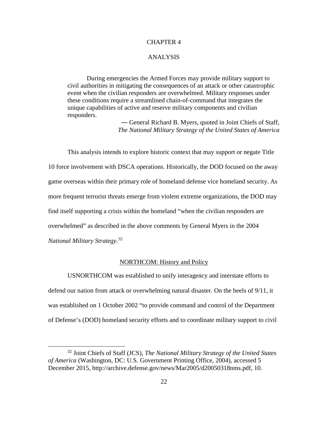## CHAPTER 4

#### ANALYSIS

During emergencies the Armed Forces may provide military support to civil authorities in mitigating the consequences of an attack or other catastrophic event when the civilian responders are overwhelmed. Military responses under these conditions require a streamlined chain-of-command that integrates the unique capabilities of active and reserve military components and civilian responders.

> ― General Richard B. Myers, quoted in Joint Chiefs of Staff, *The National Military Strategy of the United States of America*

This analysis intends to explore historic context that may support or negate Title 10 force involvement with DSCA operations. Historically, the DOD focused on the away game overseas within their primary role of homeland defense vice homeland security. As more frequent terrorist threats emerge from violent extreme organizations, the DOD may find itself supporting a crisis within the homeland "when the civilian responders are overwhelmed" as described in the above comments by General Myers in the 2004 *National Military Strategy*. [32](#page-29-0)

#### NORTHCOM: History and Policy

USNORTHCOM was established to unify interagency and interstate efforts to defend our nation from attack or overwhelming natural disaster. On the heels of 9/11, it was established on 1 October 2002 "to provide command and control of the Department of Defense's (DOD) homeland security efforts and to coordinate military support to civil

<span id="page-29-0"></span> <sup>32</sup> Joint Chiefs of Staff (JCS), *The National Military Strategy of the United States of America* (Washington, DC: U.S. Government Printing Office, 2004), accessed 5 December 2015, http://archive.defense.gov/news/Mar2005/d20050318nms.pdf, 10.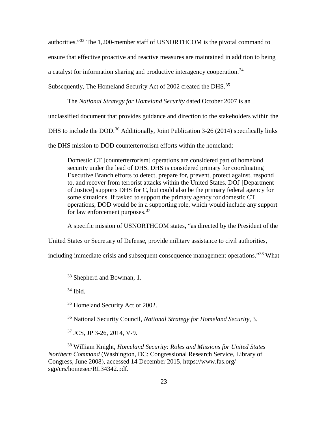authorities."[33](#page-30-0) The 1,200-member staff of USNORTHCOM is the pivotal command to

ensure that effective proactive and reactive measures are maintained in addition to being

a catalyst for information sharing and productive interagency cooperation.<sup>[34](#page-30-1)</sup>

Subsequently, The Homeland Security Act of 2002 created the DHS.<sup>[35](#page-30-2)</sup>

The *National Strategy for Homeland Security* dated October 2007 is an

unclassified document that provides guidance and direction to the stakeholders within the

DHS to include the DOD.<sup>[36](#page-30-3)</sup> Additionally, Joint Publication 3-26 (2014) specifically links

the DHS mission to DOD counterterrorism efforts within the homeland:

Domestic CT [counterterrorism] operations are considered part of homeland security under the lead of DHS. DHS is considered primary for coordinating Executive Branch efforts to detect, prepare for, prevent, protect against, respond to, and recover from terrorist attacks within the United States. DOJ [Department of Justice] supports DHS for C, but could also be the primary federal agency for some situations. If tasked to support the primary agency for domestic CT operations, DOD would be in a supporting role, which would include any support for law enforcement purposes.<sup>[37](#page-30-4)</sup>

A specific mission of USNORTHCOM states, "as directed by the President of the

United States or Secretary of Defense, provide military assistance to civil authorities,

<span id="page-30-1"></span><span id="page-30-0"></span>including immediate crisis and subsequent consequence management operations."[38](#page-30-5) What

 $34$  Ibid.

<sup>35</sup> Homeland Security Act of 2002.

<sup>36</sup> National Security Council, *National Strategy for Homeland Security*, 3.

<sup>37</sup> JCS, JP 3-26, 2014, V-9.

<span id="page-30-5"></span><span id="page-30-4"></span><span id="page-30-3"></span><span id="page-30-2"></span><sup>38</sup> William Knight, *Homeland Security: Roles and Missions for United States Northern Command* (Washington, DC: Congressional Research Service, Library of Congress, June 2008), accessed 14 December 2015, https://www.fas.org/ sgp/crs/homesec/RL34342.pdf.

<sup>&</sup>lt;sup>33</sup> Shepherd and Bowman, 1.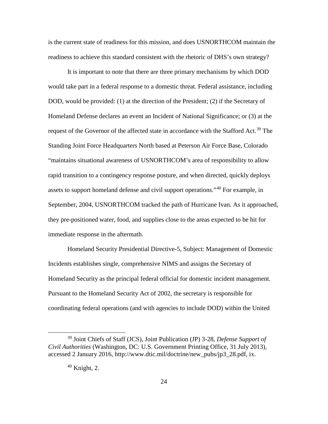is the current state of readiness for this mission, and does USNORTHCOM maintain the readiness to achieve this standard consistent with the rhetoric of DHS's own strategy?

It is important to note that there are three primary mechanisms by which DOD would take part in a federal response to a domestic threat. Federal assistance, including DOD, would be provided: (1) at the direction of the President; (2) if the Secretary of Homeland Defense declares an event an Incident of National Significance; or (3) at the request of the Governor of the affected state in accordance with the Stafford Act.<sup>[39](#page-31-0)</sup> The Standing Joint Force Headquarters North based at Peterson Air Force Base, Colorado "maintains situational awareness of USNORTHCOM's area of responsibility to allow rapid transition to a contingency response posture, and when directed, quickly deploys assets to support homeland defense and civil support operations."[40](#page-31-1) For example, in September, 2004, USNORTHCOM tracked the path of Hurricane Ivan. As it approached, they pre-positioned water, food, and supplies close to the areas expected to be hit for immediate response in the aftermath.

Homeland Security Presidential Directive-5, Subject: Management of Domestic Incidents establishes single, comprehensive NIMS and assigns the Secretary of Homeland Security as the principal federal official for domestic incident management. Pursuant to the Homeland Security Act of 2002, the secretary is responsible for coordinating federal operations (and with agencies to include DOD) within the United

<span id="page-31-1"></span><span id="page-31-0"></span> <sup>39</sup> Joint Chiefs of Staff (JCS), Joint Publication (JP) 3-28, *Defense Support of Civil Authorities* (Washington, DC: U.S. Government Printing Office, 31 July 2013), accessed 2 January 2016, http://www.dtic.mil/doctrine/new\_pubs/jp3\_28.pdf, ix.

 $40$  Knight, 2.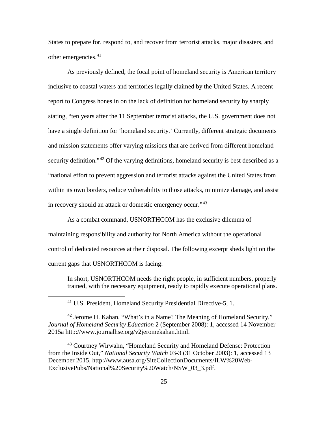States to prepare for, respond to, and recover from terrorist attacks, major disasters, and other emergencies.<sup>[41](#page-32-0)</sup>

As previously defined, the focal point of homeland security is American territory inclusive to coastal waters and territories legally claimed by the United States. A recent report to Congress hones in on the lack of definition for homeland security by sharply stating, "ten years after the 11 September terrorist attacks, the U.S. government does not have a single definition for 'homeland security.' Currently, different strategic documents and mission statements offer varying missions that are derived from different homeland security definition."<sup>[42](#page-32-1)</sup> Of the varying definitions, homeland security is best described as a "national effort to prevent aggression and terrorist attacks against the United States from within its own borders, reduce vulnerability to those attacks, minimize damage, and assist in recovery should an attack or domestic emergency occur."<sup>[43](#page-32-2)</sup>

As a combat command, USNORTHCOM has the exclusive dilemma of maintaining responsibility and authority for North America without the operational control of dedicated resources at their disposal. The following excerpt sheds light on the current gaps that USNORTHCOM is facing:

In short, USNORTHCOM needs the right people, in sufficient numbers, properly trained, with the necessary equipment, ready to rapidly execute operational plans.

<sup>41</sup> U.S. President, Homeland Security Presidential Directive-5, 1.

<span id="page-32-1"></span><span id="page-32-0"></span> $42$  Jerome H. Kahan, "What's in a Name? The Meaning of Homeland Security," *Journal of Homeland Security Education* 2 (September 2008): 1, accessed 14 November 2015a http://www.journalhse.org/v2jeromekahan.html.

<span id="page-32-2"></span><sup>43</sup> Courtney Wirwahn, "Homeland Security and Homeland Defense: Protection from the Inside Out," *National Security Watch* 03-3 (31 October 2003): 1, accessed 13 December 2015, http://www.ausa.org/SiteCollectionDocuments/ILW%20Web-ExclusivePubs/National%20Security%20Watch/NSW\_03\_3.pdf.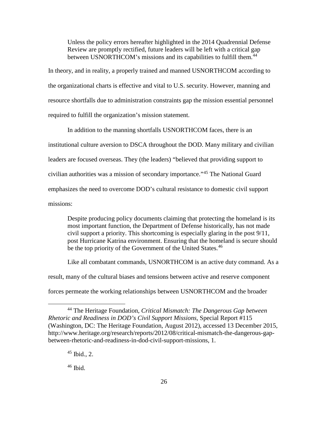Unless the policy errors hereafter highlighted in the 2014 Quadrennial Defense Review are promptly rectified, future leaders will be left with a critical gap between USNORTHCOM's missions and its capabilities to fulfill them.<sup>[44](#page-33-0)</sup>

In theory, and in reality, a properly trained and manned USNORTHCOM according to the organizational charts is effective and vital to U.S. security. However, manning and resource shortfalls due to administration constraints gap the mission essential personnel required to fulfill the organization's mission statement.

In addition to the manning shortfalls USNORTHCOM faces, there is an institutional culture aversion to DSCA throughout the DOD. Many military and civilian leaders are focused overseas. They (the leaders) "believed that providing support to civilian authorities was a mission of secondary importance."[45](#page-33-1) The National Guard emphasizes the need to overcome DOD's cultural resistance to domestic civil support missions:

Despite producing policy documents claiming that protecting the homeland is its most important function, the Department of Defense historically, has not made civil support a priority. This shortcoming is especially glaring in the post 9/11, post Hurricane Katrina environment. Ensuring that the homeland is secure should be the top priority of the Government of the United States.<sup>[46](#page-33-2)</sup>

Like all combatant commands, USNORTHCOM is an active duty command. As a result, many of the cultural biases and tensions between active and reserve component forces permeate the working relationships between USNORTHCOM and the broader

<span id="page-33-1"></span><span id="page-33-0"></span> <sup>44</sup> The Heritage Foundation, *Critical Mismatch: The Dangerous Gap between Rhetoric and Readiness in DOD's Civil Support Missions,* Special Report #115 (Washington, DC: The Heritage Foundation, August 2012), accessed 13 December 2015, http://www.heritage.org/research/reports/2012/08/critical-mismatch-the-dangerous-gapbetween-rhetoric-and-readiness-in-dod-civil-support-missions, 1.

 $45$  Ibid., 2.

<span id="page-33-2"></span> $46$  Ibid.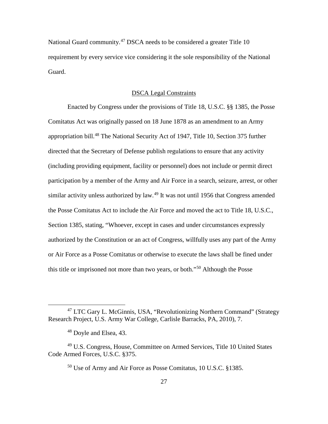National Guard community.<sup>[47](#page-34-0)</sup> DSCA needs to be considered a greater Title 10 requirement by every service vice considering it the sole responsibility of the National Guard.

#### DSCA Legal Constraints

Enacted by Congress under the provisions of Title 18, U.S.C. §§ 1385, the Posse Comitatus Act was originally passed on 18 June 1878 as an amendment to an Army appropriation bill.<sup>[48](#page-34-1)</sup> The National Security Act of 1947, Title 10, Section 375 further directed that the Secretary of Defense publish regulations to ensure that any activity (including providing equipment, facility or personnel) does not include or permit direct participation by a member of the Army and Air Force in a search, seizure, arrest, or other similar activity unless authorized by law.<sup>[49](#page-34-2)</sup> It was not until 1956 that Congress amended the Posse Comitatus Act to include the Air Force and moved the act to Title 18, U.S.C., Section 1385, stating, "Whoever, except in cases and under circumstances expressly authorized by the Constitution or an act of Congress, willfully uses any part of the Army or Air Force as a Posse Comitatus or otherwise to execute the laws shall be fined under this title or imprisoned not more than two years, or both."[50](#page-34-3) Although the Posse

<span id="page-34-0"></span><sup>&</sup>lt;sup>47</sup> LTC Gary L. McGinnis, USA, "Revolutionizing Northern Command" (Strategy Research Project, U.S. Army War College, Carlisle Barracks, PA, 2010), 7.

<sup>48</sup> Doyle and Elsea, 43.

<span id="page-34-3"></span><span id="page-34-2"></span><span id="page-34-1"></span><sup>&</sup>lt;sup>49</sup> U.S. Congress, House, Committee on Armed Services, Title 10 United States Code Armed Forces, U.S.C. §375.

<sup>50</sup> Use of Army and Air Force as Posse Comitatus, 10 U.S.C. §1385.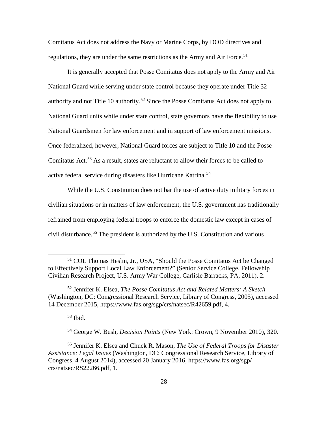Comitatus Act does not address the Navy or Marine Corps, by DOD directives and regulations, they are under the same restrictions as the Army and Air Force.<sup>[51](#page-35-0)</sup>

It is generally accepted that Posse Comitatus does not apply to the Army and Air National Guard while serving under state control because they operate under Title 32 authority and not Title 10 authority.<sup>[52](#page-35-1)</sup> Since the Posse Comitatus Act does not apply to National Guard units while under state control, state governors have the flexibility to use National Guardsmen for law enforcement and in support of law enforcement missions. Once federalized, however, National Guard forces are subject to Title 10 and the Posse Comitatus Act.<sup>[53](#page-35-2)</sup> As a result, states are reluctant to allow their forces to be called to active federal service during disasters like Hurricane Katrina.<sup>[54](#page-35-3)</sup>

While the U.S. Constitution does not bar the use of active duty military forces in civilian situations or in matters of law enforcement, the U.S. government has traditionally refrained from employing federal troops to enforce the domestic law except in cases of civil disturbance.<sup>[55](#page-35-4)</sup> The president is authorized by the U.S. Constitution and various

 $53$  Ibid.

<span id="page-35-0"></span> <sup>51</sup> COL Thomas Heslin, Jr., USA, "Should the Posse Comitatus Act be Changed to Effectively Support Local Law Enforcement?" (Senior Service College, Fellowship Civilian Research Project, U.S. Army War College, Carlisle Barracks, PA, 2011), 2.

<span id="page-35-1"></span><sup>52</sup> Jennifer K. Elsea, *The Posse Comitatus Act and Related Matters: A Sketch* (Washington, DC: Congressional Research Service, Library of Congress, 2005), accessed 14 December 2015, https://www.fas.org/sgp/crs/natsec/R42659.pdf, 4.

<sup>54</sup> George W. Bush, *Decision Points* (New York: Crown, 9 November 2010), 320.

<span id="page-35-4"></span><span id="page-35-3"></span><span id="page-35-2"></span><sup>55</sup> Jennifer K. Elsea and Chuck R. Mason, *The Use of Federal Troops for Disaster Assistance: Legal Issues* (Washington, DC: Congressional Research Service, Library of Congress, 4 August 2014), accessed 20 January 2016, https://www.fas.org/sgp/ crs/natsec/RS22266.pdf, 1.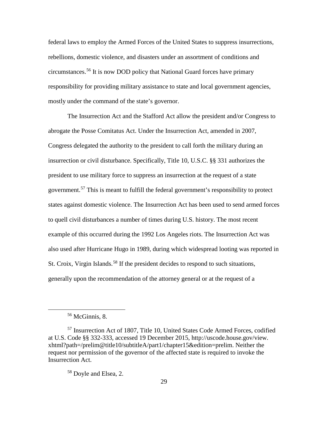federal laws to employ the Armed Forces of the United States to suppress insurrections, rebellions, domestic violence, and disasters under an assortment of conditions and circumstances.[56](#page-36-0) It is now DOD policy that National Guard forces have primary responsibility for providing military assistance to state and local government agencies, mostly under the command of the state's governor.

The Insurrection Act and the Stafford Act allow the president and/or Congress to abrogate the Posse Comitatus Act. Under the Insurrection Act, amended in 2007, Congress delegated the authority to the president to call forth the military during an insurrection or civil disturbance. Specifically, Title 10, U.S.C. §§ 331 authorizes the president to use military force to suppress an insurrection at the request of a state government.[57](#page-36-1) This is meant to fulfill the federal government's responsibility to protect states against domestic violence. The Insurrection Act has been used to send armed forces to quell civil disturbances a number of times during U.S. history. The most recent example of this occurred during the 1992 Los Angeles riots. The Insurrection Act was also used after Hurricane Hugo in 1989, during which widespread looting was reported in St. Croix, Virgin Islands.<sup>[58](#page-36-2)</sup> If the president decides to respond to such situations, generally upon the recommendation of the attorney general or at the request of a

 <sup>56</sup> McGinnis, 8.

<span id="page-36-2"></span><span id="page-36-1"></span><span id="page-36-0"></span><sup>57</sup> Insurrection Act of 1807, Title 10, United States Code Armed Forces, codified at U.S. Code §§ 332-333, accessed 19 December 2015, http://uscode.house.gov/view. xhtml?path=/prelim@title10/subtitleA/part1/chapter15&edition=prelim. Neither the request nor permission of the governor of the affected state is required to invoke the Insurrection Act.

<sup>58</sup> Doyle and Elsea, 2.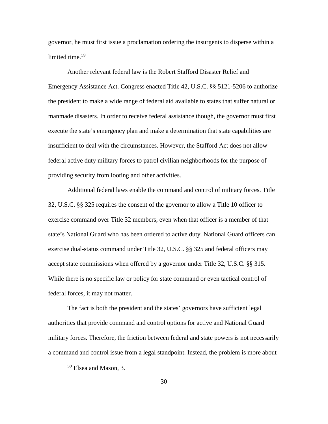governor, he must first issue a proclamation ordering the insurgents to disperse within a limited time.<sup>[59](#page-37-0)</sup>

Another relevant federal law is the Robert Stafford Disaster Relief and Emergency Assistance Act. Congress enacted Title 42, U.S.C. §§ 5121-5206 to authorize the president to make a wide range of federal aid available to states that suffer natural or manmade disasters. In order to receive federal assistance though, the governor must first execute the state's emergency plan and make a determination that state capabilities are insufficient to deal with the circumstances. However, the Stafford Act does not allow federal active duty military forces to patrol civilian neighborhoods for the purpose of providing security from looting and other activities.

Additional federal laws enable the command and control of military forces. Title 32, U.S.C. §§ 325 requires the consent of the governor to allow a Title 10 officer to exercise command over Title 32 members, even when that officer is a member of that state's National Guard who has been ordered to active duty. National Guard officers can exercise dual-status command under Title 32, U.S.C. §§ 325 and federal officers may accept state commissions when offered by a governor under Title 32, U.S.C. §§ 315. While there is no specific law or policy for state command or even tactical control of federal forces, it may not matter.

The fact is both the president and the states' governors have sufficient legal authorities that provide command and control options for active and National Guard military forces. Therefore, the friction between federal and state powers is not necessarily a command and control issue from a legal standpoint. Instead, the problem is more about

<span id="page-37-0"></span> <sup>59</sup> Elsea and Mason, 3.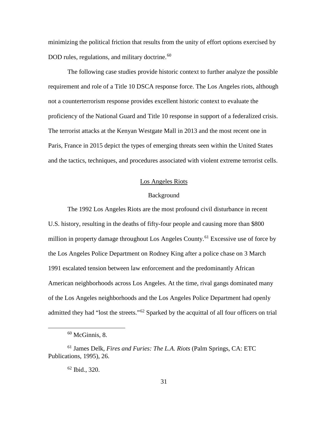minimizing the political friction that results from the unity of effort options exercised by DOD rules, regulations, and military doctrine. $60$ 

The following case studies provide historic context to further analyze the possible requirement and role of a Title 10 DSCA response force. The Los Angeles riots, although not a counterterrorism response provides excellent historic context to evaluate the proficiency of the National Guard and Title 10 response in support of a federalized crisis. The terrorist attacks at the Kenyan Westgate Mall in 2013 and the most recent one in Paris, France in 2015 depict the types of emerging threats seen within the United States and the tactics, techniques, and procedures associated with violent extreme terrorist cells.

## Los Angeles Riots

## Background

The 1992 Los Angeles Riots are the most profound civil disturbance in recent U.S. history, resulting in the deaths of fifty-four people and causing more than \$800 million in property damage throughout Los Angeles County.<sup>[61](#page-38-1)</sup> Excessive use of force by the Los Angeles Police Department on Rodney King after a police chase on 3 March 1991 escalated tension between law enforcement and the predominantly African American neighborhoods across Los Angeles. At the time, rival gangs dominated many of the Los Angeles neighborhoods and the Los Angeles Police Department had openly admitted they had "lost the streets."[62](#page-38-2) Sparked by the acquittal of all four officers on trial

 $60$  McGinnis, 8.

<span id="page-38-2"></span><span id="page-38-1"></span><span id="page-38-0"></span><sup>61</sup> James Delk, *Fires and Furies: The L.A. Riots* (Palm Springs, CA: ETC Publications, 1995), 26.

<sup>62</sup> Ibid., 320.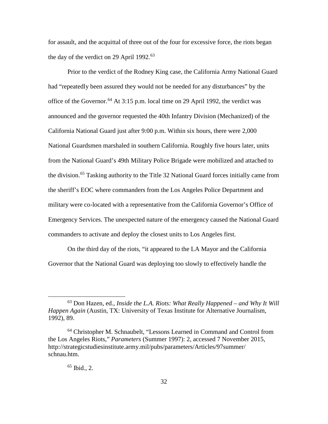for assault, and the acquittal of three out of the four for excessive force, the riots began the day of the verdict on 29 April 1992. $63$ 

Prior to the verdict of the Rodney King case, the California Army National Guard had "repeatedly been assured they would not be needed for any disturbances" by the office of the Governor. [64](#page-39-1) At 3:15 p.m. local time on 29 April 1992, the verdict was announced and the governor requested the 40th Infantry Division (Mechanized) of the California National Guard just after 9:00 p.m. Within six hours, there were 2,000 National Guardsmen marshaled in southern California. Roughly five hours later, units from the National Guard's 49th Military Police Brigade were mobilized and attached to the division.<sup>[65](#page-39-2)</sup> Tasking authority to the Title 32 National Guard forces initially came from the sheriff's EOC where commanders from the Los Angeles Police Department and military were co-located with a representative from the California Governor's Office of Emergency Services. The unexpected nature of the emergency caused the National Guard commanders to activate and deploy the closest units to Los Angeles first.

On the third day of the riots, "it appeared to the LA Mayor and the California Governor that the National Guard was deploying too slowly to effectively handle the

# $65$  Ibid., 2.

<span id="page-39-0"></span> <sup>63</sup> Don Hazen, ed., *Inside the L.A. Riots: What Really Happened – and Why It Will Happen Again* (Austin, TX: University of Texas Institute for Alternative Journalism, 1992), 89.

<span id="page-39-2"></span><span id="page-39-1"></span><sup>64</sup> Christopher M. Schnaubelt, "Lessons Learned in Command and Control from the Los Angeles Riots," *Parameters* (Summer 1997): 2, accessed 7 November 2015, http://strategicstudiesinstitute.army.mil/pubs/parameters/Articles/97summer/ schnau.htm.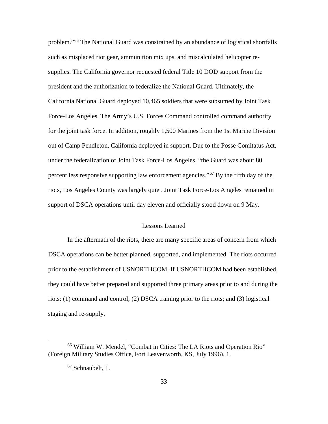problem."[66](#page-40-0) The National Guard was constrained by an abundance of logistical shortfalls such as misplaced riot gear, ammunition mix ups, and miscalculated helicopter resupplies. The California governor requested federal Title 10 DOD support from the president and the authorization to federalize the National Guard. Ultimately, the California National Guard deployed 10,465 soldiers that were subsumed by Joint Task Force-Los Angeles. The Army's U.S. Forces Command controlled command authority for the joint task force. In addition, roughly 1,500 Marines from the 1st Marine Division out of Camp Pendleton, California deployed in support. Due to the Posse Comitatus Act, under the federalization of Joint Task Force-Los Angeles, "the Guard was about 80 percent less responsive supporting law enforcement agencies."<sup>[67](#page-40-1)</sup> By the fifth day of the riots, Los Angeles County was largely quiet. Joint Task Force-Los Angeles remained in support of DSCA operations until day eleven and officially stood down on 9 May.

### Lessons Learned

In the aftermath of the riots, there are many specific areas of concern from which DSCA operations can be better planned, supported, and implemented. The riots occurred prior to the establishment of USNORTHCOM. If USNORTHCOM had been established, they could have better prepared and supported three primary areas prior to and during the riots: (1) command and control; (2) DSCA training prior to the riots; and (3) logistical staging and re-supply.

<span id="page-40-1"></span><span id="page-40-0"></span> <sup>66</sup> William W. Mendel, "Combat in Cities: The LA Riots and Operation Rio" (Foreign Military Studies Office, Fort Leavenworth, KS, July 1996), 1.

<sup>&</sup>lt;sup>67</sup> Schnaubelt, 1.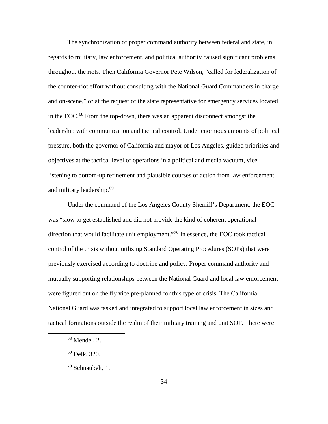The synchronization of proper command authority between federal and state, in regards to military, law enforcement, and political authority caused significant problems throughout the riots. Then California Governor Pete Wilson, "called for federalization of the counter-riot effort without consulting with the National Guard Commanders in charge and on-scene," or at the request of the state representative for emergency services located in the EOC. [68](#page-41-0) From the top-down, there was an apparent disconnect amongst the leadership with communication and tactical control. Under enormous amounts of political pressure, both the governor of California and mayor of Los Angeles, guided priorities and objectives at the tactical level of operations in a political and media vacuum, vice listening to bottom-up refinement and plausible courses of action from law enforcement and military leadership.[69](#page-41-1)

Under the command of the Los Angeles County Sherriff's Department, the EOC was "slow to get established and did not provide the kind of coherent operational direction that would facilitate unit employment."[70](#page-41-2) In essence, the EOC took tactical control of the crisis without utilizing Standard Operating Procedures (SOPs) that were previously exercised according to doctrine and policy. Proper command authority and mutually supporting relationships between the National Guard and local law enforcement were figured out on the fly vice pre-planned for this type of crisis. The California National Guard was tasked and integrated to support local law enforcement in sizes and tactical formations outside the realm of their military training and unit SOP. There were

<span id="page-41-0"></span> $68$  Mendel, 2.

<span id="page-41-1"></span><sup>69</sup> Delk, 320.

<span id="page-41-2"></span><sup>70</sup> Schnaubelt, 1.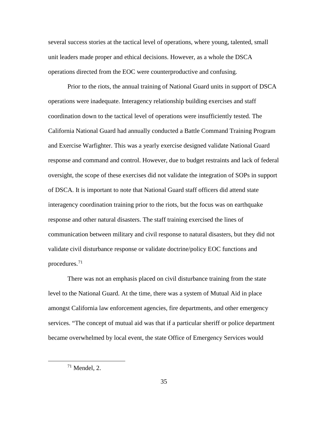several success stories at the tactical level of operations, where young, talented, small unit leaders made proper and ethical decisions. However, as a whole the DSCA operations directed from the EOC were counterproductive and confusing.

Prior to the riots, the annual training of National Guard units in support of DSCA operations were inadequate. Interagency relationship building exercises and staff coordination down to the tactical level of operations were insufficiently tested. The California National Guard had annually conducted a Battle Command Training Program and Exercise Warfighter. This was a yearly exercise designed validate National Guard response and command and control. However, due to budget restraints and lack of federal oversight, the scope of these exercises did not validate the integration of SOPs in support of DSCA. It is important to note that National Guard staff officers did attend state interagency coordination training prior to the riots, but the focus was on earthquake response and other natural disasters. The staff training exercised the lines of communication between military and civil response to natural disasters, but they did not validate civil disturbance response or validate doctrine/policy EOC functions and procedures.[71](#page-42-0)

There was not an emphasis placed on civil disturbance training from the state level to the National Guard. At the time, there was a system of Mutual Aid in place amongst California law enforcement agencies, fire departments, and other emergency services. "The concept of mutual aid was that if a particular sheriff or police department became overwhelmed by local event, the state Office of Emergency Services would

<span id="page-42-0"></span> $71$  Mendel, 2.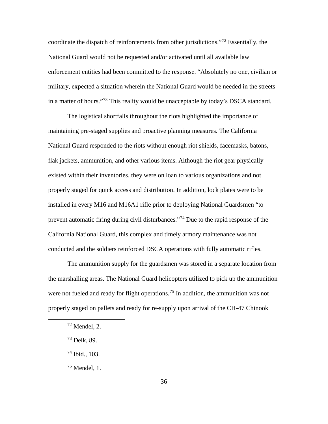coordinate the dispatch of reinforcements from other jurisdictions."<sup>[72](#page-43-0)</sup> Essentially, the National Guard would not be requested and/or activated until all available law enforcement entities had been committed to the response. "Absolutely no one, civilian or military, expected a situation wherein the National Guard would be needed in the streets in a matter of hours."<sup>[73](#page-43-1)</sup> This reality would be unacceptable by today's DSCA standard.

The logistical shortfalls throughout the riots highlighted the importance of maintaining pre-staged supplies and proactive planning measures. The California National Guard responded to the riots without enough riot shields, facemasks, batons, flak jackets, ammunition, and other various items. Although the riot gear physically existed within their inventories, they were on loan to various organizations and not properly staged for quick access and distribution. In addition, lock plates were to be installed in every M16 and M16A1 rifle prior to deploying National Guardsmen "to prevent automatic firing during civil disturbances."<sup>[74](#page-43-2)</sup> Due to the rapid response of the California National Guard, this complex and timely armory maintenance was not conducted and the soldiers reinforced DSCA operations with fully automatic rifles.

The ammunition supply for the guardsmen was stored in a separate location from the marshalling areas. The National Guard helicopters utilized to pick up the ammunition were not fueled and ready for flight operations.<sup>[75](#page-43-3)</sup> In addition, the ammunition was not properly staged on pallets and ready for re-supply upon arrival of the CH-47 Chinook

<span id="page-43-0"></span> $72$  Mendel, 2.

<span id="page-43-1"></span><sup>73</sup> Delk, 89.

<span id="page-43-2"></span><sup>74</sup> Ibid., 103.

<span id="page-43-3"></span> $75$  Mendel, 1.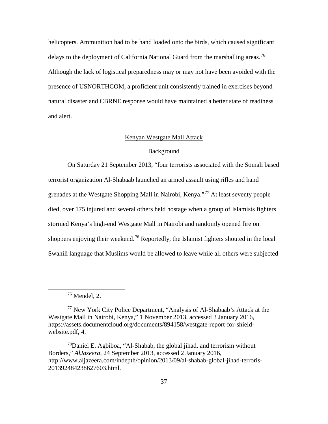helicopters. Ammunition had to be hand loaded onto the birds, which caused significant delays to the deployment of California National Guard from the marshalling areas.<sup>[76](#page-44-0)</sup> Although the lack of logistical preparedness may or may not have been avoided with the presence of USNORTHCOM, a proficient unit consistently trained in exercises beyond natural disaster and CBRNE response would have maintained a better state of readiness and alert.

### Kenyan Westgate Mall Attack

### Background

On Saturday 21 September 2013, "four terrorists associated with the Somali based terrorist organization Al-Shabaab launched an armed assault using rifles and hand grenades at the Westgate Shopping Mall in Nairobi, Kenya."[77](#page-44-1) At least seventy people died, over 175 injured and several others held hostage when a group of Islamists fighters stormed Kenya's high-end Westgate Mall in Nairobi and randomly opened fire on shoppers enjoying their weekend.<sup>[78](#page-44-2)</sup> Reportedly, the Islamist fighters shouted in the local Swahili language that Muslims would be allowed to leave while all others were subjected

 <sup>76</sup> Mendel, 2.

<span id="page-44-1"></span><span id="page-44-0"></span><sup>77</sup> New York City Police Department, "Analysis of Al-Shabaab's Attack at the Westgate Mall in Nairobi, Kenya," 1 November 2013, accessed 3 January 2016, [https://assets.documentcloud.org/documents/894158/westgate-report-for-shield](https://assets.documentcloud.org/documents/894158/westgate-report-for-shield-website.pdf)[website.pdf,](https://assets.documentcloud.org/documents/894158/westgate-report-for-shield-website.pdf) 4.

<span id="page-44-2"></span> $78$ Daniel E. Agbiboa, "Al-Shabab, the global jihad, and terrorism without Borders," *AlJazeera*, 24 September 2013, accessed 2 January 2016, http://www.aljazeera.com/indepth/opinion/2013/09/al-shabab-global-jihad-terroris-201392484238627603.html.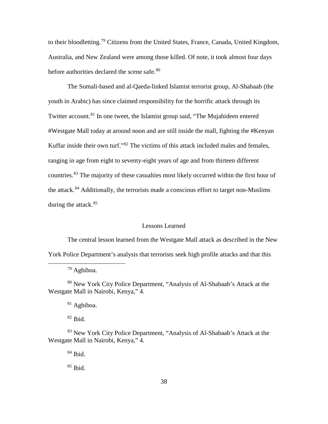to their bloodletting.<sup>[79](#page-45-0)</sup> Citizens from the United States, France, Canada, United Kingdom, Australia, and New Zealand were among those killed. Of note, it took almost four days before authorities declared the scene safe.<sup>[80](#page-45-1)</sup>

The Somali-based and al-Qaeda-linked Islamist terrorist group, Al-Shabaab (the youth in Arabic) has since claimed responsibility for the horrific attack through its Twitter account.<sup>[81](#page-45-2)</sup> In one tweet, the Islamist group said, "The Mujahideen entered #Westgate Mall today at around noon and are still inside the mall, fighting the #Kenyan Kuffar inside their own turf."<sup>[82](#page-45-3)</sup> The victims of this attack included males and females, ranging in age from eight to seventy-eight years of age and from thirteen different countries.[83](#page-45-4) The majority of these casualties most likely occurred within the first hour of the attack.<sup>[84](#page-45-5)</sup> Additionally, the terrorists made a conscious effort to target non-Muslims during the attack.<sup>[85](#page-45-6)</sup>

### Lessons Learned

The central lesson learned from the Westgate Mall attack as described in the New York Police Department's analysis that terrorists seek high profile attacks and that this

79 Agbiboa.

<span id="page-45-2"></span><span id="page-45-1"></span><span id="page-45-0"></span><sup>80</sup> New York City Police Department, "Analysis of Al-Shabaab's Attack at the Westgate Mall in Nairobi, Kenya," 4.

<sup>81</sup> Agbiboa.

 $82$  Ibid.

<span id="page-45-6"></span><span id="page-45-5"></span><span id="page-45-4"></span><span id="page-45-3"></span><sup>83</sup> New York City Police Department, "Analysis of Al-Shabaab's Attack at the Westgate Mall in Nairobi, Kenya," 4.

<sup>84</sup> Ibid.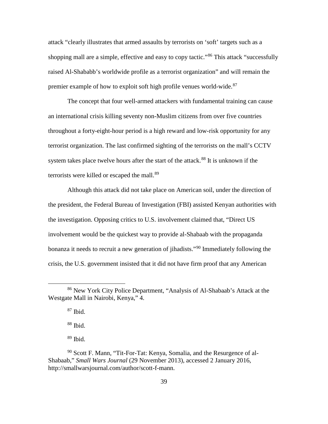attack "clearly illustrates that armed assaults by terrorists on 'soft' targets such as a shopping mall are a simple, effective and easy to copy tactic."<sup>[86](#page-46-0)</sup> This attack "successfully raised Al-Shababb's worldwide profile as a terrorist organization" and will remain the premier example of how to exploit soft high profile venues world-wide.<sup>[87](#page-46-1)</sup>

The concept that four well-armed attackers with fundamental training can cause an international crisis killing seventy non-Muslim citizens from over five countries throughout a forty-eight-hour period is a high reward and low-risk opportunity for any terrorist organization. The last confirmed sighting of the terrorists on the mall's CCTV system takes place twelve hours after the start of the attack.<sup>[88](#page-46-2)</sup> It is unknown if the terrorists were killed or escaped the mall.<sup>[89](#page-46-3)</sup>

Although this attack did not take place on American soil, under the direction of the president, the Federal Bureau of Investigation (FBI) assisted Kenyan authorities with the investigation. Opposing critics to U.S. involvement claimed that, "Direct US involvement would be the quickest way to provide al-Shabaab with the propaganda bonanza it needs to recruit a new generation of jihadists."<sup>[90](#page-46-4)</sup> Immediately following the crisis, the U.S. government insisted that it did not have firm proof that any American

 $87$  Ibid.

<sup>88</sup> Ibid.

<span id="page-46-1"></span><span id="page-46-0"></span> <sup>86</sup> New York City Police Department, "Analysis of Al-Shabaab's Attack at the Westgate Mall in Nairobi, Kenya," 4.

<span id="page-46-4"></span><span id="page-46-3"></span><span id="page-46-2"></span><sup>90</sup> Scott F. Mann, "Tit-For-Tat: Kenya, Somalia, and the Resurgence of al-Shabaab," *Small Wars Journal* (29 November 2013), accessed 2 January 2016, http://smallwarsjournal.com/author/scott-f-mann.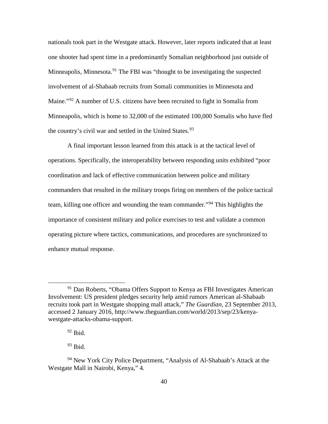nationals took part in the Westgate attack. However, later reports indicated that at least one shooter had spent time in a predominantly Somalian neighborhood just outside of Minneapolis, Minnesota.<sup>[91](#page-47-0)</sup> The FBI was "thought to be investigating the suspected involvement of al-Shabaab recruits from Somali communities in Minnesota and Maine."[92](#page-47-1) A number of U.S. citizens have been recruited to fight in Somalia from Minneapolis, which is home to 32,000 of the estimated 100,000 Somalis who have fled the country's civil war and settled in the United States.<sup>[93](#page-47-2)</sup>

A final important lesson learned from this attack is at the tactical level of operations. Specifically, the interoperability between responding units exhibited "poor coordination and lack of effective communication between police and military commanders that resulted in the military troops firing on members of the police tactical team, killing one officer and wounding the team commander."[94](#page-47-3) This highlights the importance of consistent military and police exercises to test and validate a common operating picture where tactics, communications, and procedures are synchronized to enhance mutual response.

<span id="page-47-0"></span><sup>&</sup>lt;sup>91</sup> Dan Roberts, "Obama Offers Support to Kenya as FBI Investigates American Involvement: US president pledges security help amid rumors American al-Shabaab recruits took part in Westgate shopping mall attack," *The Guardian*, 23 September 2013, accessed 2 January 2016, http://www.theguardian.com/world/2013/sep/23/kenyawestgate-attacks-obama-support.

 $92$  Ibid.

<span id="page-47-3"></span><span id="page-47-2"></span><span id="page-47-1"></span><sup>&</sup>lt;sup>94</sup> New York City Police Department, "Analysis of Al-Shabaab's Attack at the Westgate Mall in Nairobi, Kenya," 4.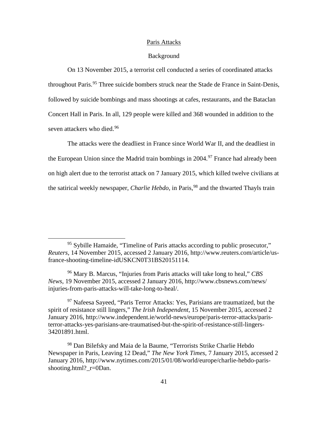#### Paris Attacks

### Background

On 13 November 2015, a terrorist cell conducted a series of coordinated attacks throughout Paris.<sup>[95](#page-48-0)</sup> Three suicide bombers struck near the Stade de France in Saint-Denis, followed by suicide bombings and mass shootings at cafes, restaurants, and the Bataclan Concert Hall in Paris. In all, 129 people were killed and 368 wounded in addition to the seven attackers who died.<sup>[96](#page-48-1)</sup>

The attacks were the deadliest in France since World War II, and the deadliest in the European Union since the Madrid train bombings in 2004.<sup>[97](#page-48-2)</sup> France had already been on high alert due to the terrorist attack on 7 January 2015, which killed twelve civilians at the satirical weekly newspaper, *Charlie Hebdo*, in Paris, [98](#page-48-3) and the thwarted Thayls train

<span id="page-48-0"></span> <sup>95</sup> Sybille Hamaide, "Timeline of Paris attacks according to public prosecutor," *Reuters*, 14 November 2015, accessed 2 January 2016, http://www.reuters.com/article/usfrance-shooting-timeline-idUSKCN0T31BS20151114.

<span id="page-48-1"></span><sup>96</sup> Mary B. Marcus, "Injuries from Paris attacks will take long to heal," *CBS News*, 19 November 2015, accessed 2 January 2016, http://www.cbsnews.com/news/ injuries-from-paris-attacks-will-take-long-to-heal/.

<span id="page-48-2"></span> $97$  Nafeesa Sayeed, "Paris Terror Attacks: Yes, Parisians are traumatized, but the spirit of resistance still lingers," *The Irish Independent*, 15 November 2015, accessed 2 January 2016, http://www.independent.ie/world-news/europe/paris-terror-attacks/paristerror-attacks-yes-parisians-are-traumatised-but-the-spirit-of-resistance-still-lingers-34201891.html.

<span id="page-48-3"></span><sup>98</sup> Dan Bilefsky and Maia de la Baume, "Terrorists Strike Charlie Hebdo Newspaper in Paris, Leaving 12 Dead," *The New York Times*, 7 January 2015, accessed 2 January 2016, http://www.nytimes.com/2015/01/08/world/europe/charlie-hebdo-parisshooting.html?\_r=0Dan.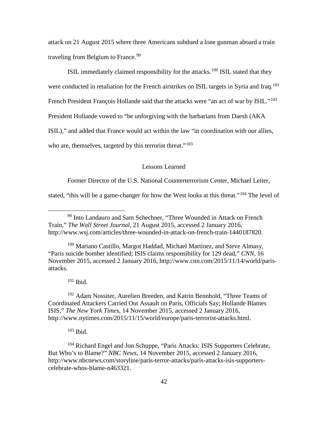attack on 21 August 2015 where three Americans subdued a lone gunman aboard a train traveling from Belgium to France.<sup>[99](#page-49-0)</sup>

ISIL immediately claimed responsibility for the attacks.<sup>[100](#page-49-1)</sup> ISIL stated that they were conducted in retaliation for the French airstrikes on ISIL targets in Syria and Iraq.<sup>[101](#page-49-2)</sup> French President François Hollande said that the attacks were "an act of war by ISIL."<sup>[102](#page-49-3)</sup> President Hollande vowed to "be unforgiving with the barbarians from Daesh (AKA ISIL)," and added that France would act within the law "in coordination with our allies, who are, themselves, targeted by this terrorist threat."<sup>[103](#page-49-4)</sup>

### Lessons Learned

Former Director of the U.S. National Counterterrorism Center, Michael Leiter,

stated, "this will be a game-changer for how the West looks at this threat."<sup>[104](#page-49-5)</sup> The level of

<span id="page-49-1"></span><sup>100</sup> Mariano Castillo, Margot Haddad, Michael Martinez, and Steve Almasy, "Paris suicide bomber identified; ISIS claims responsibility for 129 dead," *CNN*, 16 November 2015, accessed 2 January 2016, http://www.cnn.com/2015/11/14/world/parisattacks.

 $101$  Ibid.

<span id="page-49-3"></span><span id="page-49-2"></span><sup>102</sup> Adam Nossiter, Aurelien Breeden, and Katrin Bennhold, "Three Teams of Coordinated Attackers Carried Out Assault on Paris, Officials Say; Hollande Blames ISIS," *The New York Times*, 14 November 2015, accessed 2 January 2016, http://www.nytimes.com/2015/11/15/world/europe/paris-terrorist-attacks.html.

<sup>103</sup> Ibid.

<span id="page-49-5"></span><span id="page-49-4"></span><sup>104</sup> Richard Engel and Jon Schuppe, "Paris Attacks: ISIS Supporters Celebrate, But Who's to Blame?" *NBC News*, 14 November 2015, accessed 2 January 2016, http://www.nbcnews.com/storyline/paris-terror-attacks/paris-attacks-isis-supporterscelebrate-whos-blame-n463321.

<span id="page-49-0"></span> <sup>99</sup> Into Landauro and Sam Schechner, "Three Wounded in Attack on French Train," *The Wall Street Journal*, 21 August 2015, accessed 2 January 2016, http://www.wsj.com/articles/three-wounded-in-attack-on-french-train-1440187820.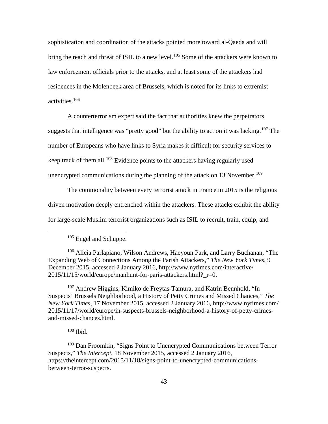sophistication and coordination of the attacks pointed more toward al-Qaeda and will bring the reach and threat of ISIL to a new level.<sup>[105](#page-50-0)</sup> Some of the attackers were known to law enforcement officials prior to the attacks, and at least some of the attackers had residences in the Molenbeek area of Brussels, which is noted for its links to extremist activities.[106](#page-50-1)

A counterterrorism expert said the fact that authorities knew the perpetrators suggests that intelligence was "pretty good" but the ability to act on it was lacking.<sup>[107](#page-50-2)</sup> The number of Europeans who have links to Syria makes it difficult for security services to keep track of them all.<sup>[108](#page-50-3)</sup> Evidence points to the attackers having regularly used unencrypted communications during the planning of the attack on 13 November.<sup>[109](#page-50-4)</sup>

The commonality between every terrorist attack in France in 2015 is the religious driven motivation deeply entrenched within the attackers. These attacks exhibit the ability for large-scale Muslim terrorist organizations such as ISIL to recruit, train, equip, and

<span id="page-50-2"></span><sup>107</sup> Andrew Higgins, Kimiko de Freytas-Tamura, and Katrin Bennhold, "In Suspects' Brussels Neighborhood, a History of Petty Crimes and Missed Chances," *The New York Times*, 17 November 2015, accessed 2 January 2016, http://www.nytimes.com/ 2015/11/17/world/europe/in-suspects-brussels-neighborhood-a-history-of-petty-crimesand-missed-chances.html.

<sup>108</sup> Ibid.

<span id="page-50-4"></span><span id="page-50-3"></span><sup>109</sup> Dan Froomkin, "Signs Point to Unencrypted Communications between Terror Suspects," *The Intercept*, 18 November 2015, accessed 2 January 2016, https://theintercept.com/2015/11/18/signs-point-to-unencrypted-communicationsbetween-terror-suspects.

<sup>&</sup>lt;sup>105</sup> Engel and Schuppe.

<span id="page-50-1"></span><span id="page-50-0"></span><sup>106</sup> Alicia Parlapiano, Wilson Andrews, Haeyoun Park, and Larry Buchanan, "The Expanding Web of Connections Among the Parish Attackers," *The New York Times*, 9 December 2015, accessed 2 January 2016, http://www.nytimes.com/interactive/ 2015/11/15/world/europe/manhunt-for-paris-attackers.html?\_r=0.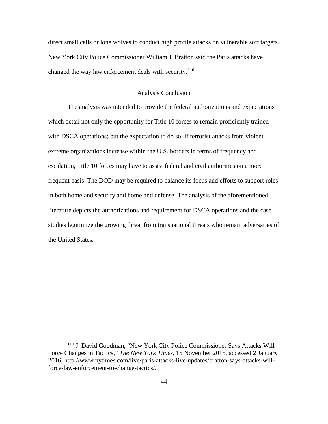direct small cells or lone wolves to conduct high profile attacks on vulnerable soft targets. New York City Police Commissioner William J. Bratton said the Paris attacks have changed the way law enforcement deals with security.<sup>[110](#page-51-0)</sup>

#### Analysis Conclusion

The analysis was intended to provide the federal authorizations and expectations which detail not only the opportunity for Title 10 forces to remain proficiently trained with DSCA operations; but the expectation to do so. If terrorist attacks from violent extreme organizations increase within the U.S. borders in terms of frequency and escalation, Title 10 forces may have to assist federal and civil authorities on a more frequent basis. The DOD may be required to balance its focus and efforts to support roles in both homeland security and homeland defense. The analysis of the aforementioned literature depicts the authorizations and requirement for DSCA operations and the case studies legitimize the growing threat from transnational threats who remain adversaries of the United States.

<span id="page-51-0"></span> <sup>110</sup> J. David Goodman, "New York City Police Commissioner Says Attacks Will Force Changes in Tactics," *The New York Times*, 15 November 2015, accessed 2 January 2016, http://www.nytimes.com/live/paris-attacks-live-updates/bratton-says-attacks-willforce-law-enforcement-to-change-tactics/.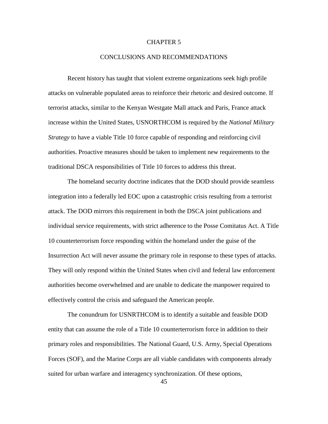### CHAPTER 5

### CONCLUSIONS AND RECOMMENDATIONS

Recent history has taught that violent extreme organizations seek high profile attacks on vulnerable populated areas to reinforce their rhetoric and desired outcome. If terrorist attacks, similar to the Kenyan Westgate Mall attack and Paris, France attack increase within the United States, USNORTHCOM is required by the *National Military Strategy* to have a viable Title 10 force capable of responding and reinforcing civil authorities. Proactive measures should be taken to implement new requirements to the traditional DSCA responsibilities of Title 10 forces to address this threat.

The homeland security doctrine indicates that the DOD should provide seamless integration into a federally led EOC upon a catastrophic crisis resulting from a terrorist attack. The DOD mirrors this requirement in both the DSCA joint publications and individual service requirements, with strict adherence to the Posse Comitatus Act. A Title 10 counterterrorism force responding within the homeland under the guise of the Insurrection Act will never assume the primary role in response to these types of attacks. They will only respond within the United States when civil and federal law enforcement authorities become overwhelmed and are unable to dedicate the manpower required to effectively control the crisis and safeguard the American people.

The conundrum for USNRTHCOM is to identify a suitable and feasible DOD entity that can assume the role of a Title 10 counterterrorism force in addition to their primary roles and responsibilities. The National Guard, U.S. Army, Special Operations Forces (SOF), and the Marine Corps are all viable candidates with components already suited for urban warfare and interagency synchronization. Of these options,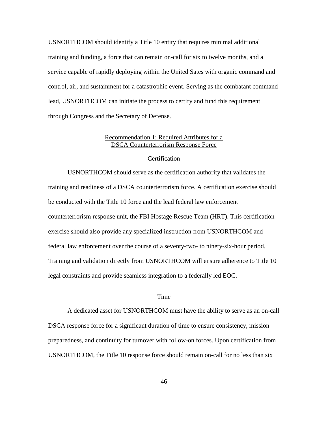USNORTHCOM should identify a Title 10 entity that requires minimal additional training and funding, a force that can remain on-call for six to twelve months, and a service capable of rapidly deploying within the United Sates with organic command and control, air, and sustainment for a catastrophic event. Serving as the combatant command lead, USNORTHCOM can initiate the process to certify and fund this requirement through Congress and the Secretary of Defense.

# Recommendation 1: Required Attributes for a DSCA Counterterrorism Response Force

### **Certification**

USNORTHCOM should serve as the certification authority that validates the training and readiness of a DSCA counterterrorism force. A certification exercise should be conducted with the Title 10 force and the lead federal law enforcement counterterrorism response unit, the FBI Hostage Rescue Team (HRT). This certification exercise should also provide any specialized instruction from USNORTHCOM and federal law enforcement over the course of a seventy-two- to ninety-six-hour period. Training and validation directly from USNORTHCOM will ensure adherence to Title 10 legal constraints and provide seamless integration to a federally led EOC.

## Time

A dedicated asset for USNORTHCOM must have the ability to serve as an on-call DSCA response force for a significant duration of time to ensure consistency, mission preparedness, and continuity for turnover with follow-on forces. Upon certification from USNORTHCOM, the Title 10 response force should remain on-call for no less than six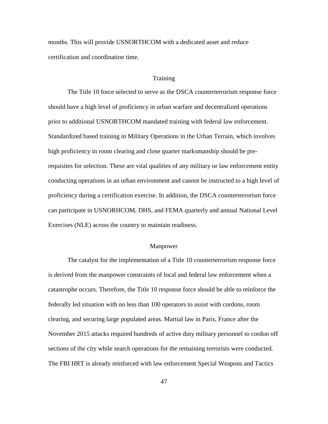months. This will provide USNORTHCOM with a dedicated asset and reduce certification and coordination time.

### **Training**

The Title 10 force selected to serve as the DSCA counterterrorism response force should have a high level of proficiency in urban warfare and decentralized operations prior to additional USNORTHCOM mandated training with federal law enforcement. Standardized based training in Military Operations in the Urban Terrain, which involves high proficiency in room clearing and close quarter marksmanship should be prerequisites for selection. These are vital qualities of any military or law enforcement entity conducting operations in an urban environment and cannot be instructed to a high level of proficiency during a certification exercise. In addition, the DSCA counterterrorism force can participate in USNORHCOM, DHS, and FEMA quarterly and annual National Level Exercises (NLE) across the country to maintain readiness.

#### Manpower

The catalyst for the implementation of a Title 10 counterterrorism response force is derived from the manpower constraints of local and federal law enforcement when a catastrophe occurs. Therefore, the Title 10 response force should be able to reinforce the federally led situation with no less than 100 operators to assist with cordons, room clearing, and securing large populated areas. Martial law in Paris, France after the November 2015 attacks required hundreds of active duty military personnel to cordon off sections of the city while search operations for the remaining terrorists were conducted. The FBI HRT is already reinforced with law enforcement Special Weapons and Tactics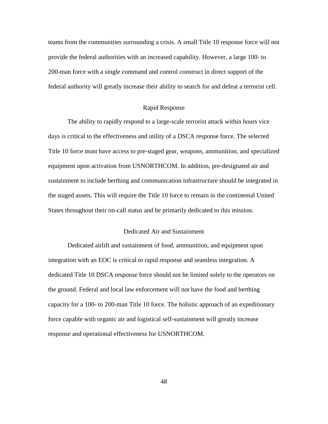teams from the communities surrounding a crisis. A small Title 10 response force will not provide the federal authorities with an increased capability. However, a large 100- to 200-man force with a single command and control construct in direct support of the federal authority will greatly increase their ability to search for and defeat a terrorist cell.

### Rapid Response

The ability to rapidly respond to a large-scale terrorist attack within hours vice days is critical to the effectiveness and utility of a DSCA response force. The selected Title 10 force must have access to pre-staged gear, weapons, ammunition, and specialized equipment upon activation from USNORTHCOM. In addition, pre-designated air and sustainment to include berthing and communication infrastructure should be integrated in the staged assets. This will require the Title 10 force to remain in the continental United States throughout their on-call status and be primarily dedicated to this mission.

## Dedicated Air and Sustainment

Dedicated airlift and sustainment of food, ammunition, and equipment upon integration with an EOC is critical to rapid response and seamless integration. A dedicated Title 10 DSCA response force should not be limited solely to the operators on the ground. Federal and local law enforcement will not have the food and berthing capacity for a 100- to 200-man Title 10 force. The holistic approach of an expeditionary force capable with organic air and logistical self-sustainment will greatly increase response and operational effectiveness for USNORTHCOM.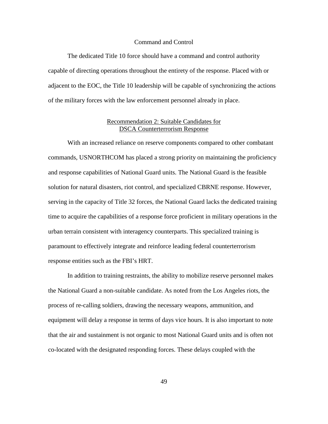#### Command and Control

The dedicated Title 10 force should have a command and control authority capable of directing operations throughout the entirety of the response. Placed with or adjacent to the EOC, the Title 10 leadership will be capable of synchronizing the actions of the military forces with the law enforcement personnel already in place.

# Recommendation 2: Suitable Candidates for DSCA Counterterrorism Response

With an increased reliance on reserve components compared to other combatant commands, USNORTHCOM has placed a strong priority on maintaining the proficiency and response capabilities of National Guard units. The National Guard is the feasible solution for natural disasters, riot control, and specialized CBRNE response. However, serving in the capacity of Title 32 forces, the National Guard lacks the dedicated training time to acquire the capabilities of a response force proficient in military operations in the urban terrain consistent with interagency counterparts. This specialized training is paramount to effectively integrate and reinforce leading federal counterterrorism response entities such as the FBI's HRT.

In addition to training restraints, the ability to mobilize reserve personnel makes the National Guard a non-suitable candidate. As noted from the Los Angeles riots, the process of re-calling soldiers, drawing the necessary weapons, ammunition, and equipment will delay a response in terms of days vice hours. It is also important to note that the air and sustainment is not organic to most National Guard units and is often not co-located with the designated responding forces. These delays coupled with the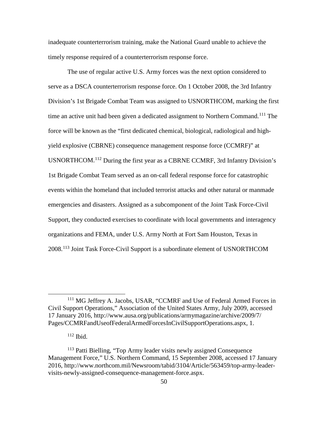inadequate counterterrorism training, make the National Guard unable to achieve the timely response required of a counterterrorism response force.

The use of regular active U.S. Army forces was the next option considered to serve as a DSCA counterterrorism response force. On 1 October 2008, the 3rd Infantry Division's 1st Brigade Combat Team was assigned to USNORTHCOM, marking the first time an active unit had been given a dedicated assignment to Northern Command.<sup>[111](#page-57-0)</sup> The force will be known as the "first dedicated chemical, biological, radiological and highyield explosive (CBRNE) consequence management response force (CCMRF)" at USNORTHCOM.[112](#page-57-1) During the first year as a CBRNE CCMRF, 3rd Infantry Division's 1st Brigade Combat Team served as an on-call federal response force for catastrophic events within the homeland that included terrorist attacks and other natural or manmade emergencies and disasters. Assigned as a subcomponent of the Joint Task Force-Civil Support, they conducted exercises to coordinate with local governments and interagency organizations and FEMA, under U.S. Army North at Fort Sam Houston, Texas in 2008.[113](#page-57-2) Joint Task Force-Civil Support is a subordinate element of USNORTHCOM

<span id="page-57-0"></span><sup>&</sup>lt;sup>111</sup> MG Jeffrey A. Jacobs, USAR, "CCMRF and Use of Federal Armed Forces in Civil Support Operations," Association of the United States Army, July 2009, accessed 17 January 2016, http://www.ausa.org/publications/armymagazine/archive/2009/7/ Pages/CCMRFandUseofFederalArmedForcesInCivilSupportOperations.aspx, 1.

 $112$  Ibid.

<span id="page-57-2"></span><span id="page-57-1"></span><sup>113</sup> Patti Bielling, "Top Army leader visits newly assigned Consequence Management Force," U.S. Northern Command, 15 September 2008, accessed 17 January 2016, http://www.northcom.mil/Newsroom/tabid/3104/Article/563459/top-army-leadervisits-newly-assigned-consequence-management-force.aspx.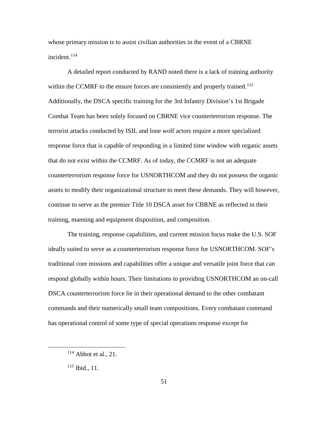whose primary mission is to assist civilian authorities in the event of a CBRNE incident. [114](#page-58-0)

A detailed report conducted by RAND noted there is a lack of training authority within the CCMRF to the ensure forces are consistently and properly trained.<sup>[115](#page-58-1)</sup> Additionally, the DSCA specific training for the 3rd Infantry Division's 1st Brigade Combat Team has been solely focused on CBRNE vice counterterrorism response. The terrorist attacks conducted by ISIL and lone wolf actors require a more specialized response force that is capable of responding in a limited time window with organic assets that do not exist within the CCMRF. As of today, the CCMRF is not an adequate counterterrorism response force for USNORTHCOM and they do not possess the organic assets to modify their organizational structure to meet these demands. They will however, continue to serve as the premier Title 10 DSCA asset for CBRNE as reflected in their training, manning and equipment disposition, and composition.

The training, response capabilities, and current mission focus make the U.S. SOF ideally suited to serve as a counterterrorism response force for USNORTHCOM. SOF's traditional core missions and capabilities offer a unique and versatile joint force that can respond globally within hours. Their limitations to providing USNORTHCOM an on-call DSCA counterterrorism force lie in their operational demand to the other combatant commands and their numerically small team compositions. Every combatant command has operational control of some type of special operations response except for

<span id="page-58-0"></span> $114$  Abbot et al., 21.

<span id="page-58-1"></span> $115$  Ibid., 11.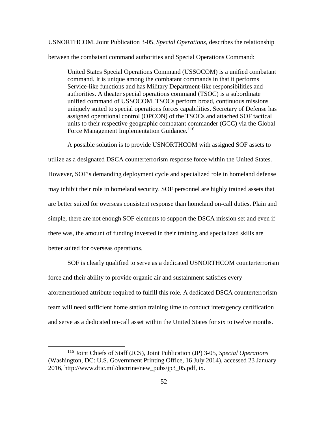USNORTHCOM. Joint Publication 3-05, *Special Operations*, describes the relationship

between the combatant command authorities and Special Operations Command:

United States Special Operations Command (USSOCOM) is a unified combatant command. It is unique among the combatant commands in that it performs Service-like functions and has Military Department-like responsibilities and authorities. A theater special operations command (TSOC) is a subordinate unified command of USSOCOM. TSOCs perform broad, continuous missions uniquely suited to special operations forces capabilities. Secretary of Defense has assigned operational control (OPCON) of the TSOCs and attached SOF tactical units to their respective geographic combatant commander (GCC) via the Global Force Management Implementation Guidance.<sup>[116](#page-59-0)</sup>

A possible solution is to provide USNORTHCOM with assigned SOF assets to utilize as a designated DSCA counterterrorism response force within the United States. However, SOF's demanding deployment cycle and specialized role in homeland defense may inhibit their role in homeland security. SOF personnel are highly trained assets that are better suited for overseas consistent response than homeland on-call duties. Plain and simple, there are not enough SOF elements to support the DSCA mission set and even if there was, the amount of funding invested in their training and specialized skills are better suited for overseas operations.

SOF is clearly qualified to serve as a dedicated USNORTHCOM counterterrorism force and their ability to provide organic air and sustainment satisfies every aforementioned attribute required to fulfill this role. A dedicated DSCA counterterrorism team will need sufficient home station training time to conduct interagency certification and serve as a dedicated on-call asset within the United States for six to twelve months.

<span id="page-59-0"></span> <sup>116</sup> Joint Chiefs of Staff (JCS), Joint Publication (JP) 3-05, *Special Operations* (Washington, DC: U.S. Government Printing Office, 16 July 2014), accessed 23 January 2016, http://www.dtic.mil/doctrine/new\_pubs/jp3\_05.pdf, ix.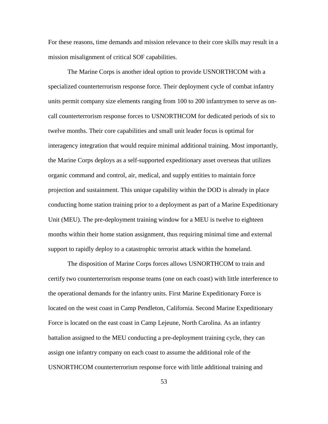For these reasons, time demands and mission relevance to their core skills may result in a mission misalignment of critical SOF capabilities.

The Marine Corps is another ideal option to provide USNORTHCOM with a specialized counterterrorism response force. Their deployment cycle of combat infantry units permit company size elements ranging from 100 to 200 infantrymen to serve as oncall counterterrorism response forces to USNORTHCOM for dedicated periods of six to twelve months. Their core capabilities and small unit leader focus is optimal for interagency integration that would require minimal additional training. Most importantly, the Marine Corps deploys as a self-supported expeditionary asset overseas that utilizes organic command and control, air, medical, and supply entities to maintain force projection and sustainment. This unique capability within the DOD is already in place conducting home station training prior to a deployment as part of a Marine Expeditionary Unit (MEU). The pre-deployment training window for a MEU is twelve to eighteen months within their home station assignment, thus requiring minimal time and external support to rapidly deploy to a catastrophic terrorist attack within the homeland.

The disposition of Marine Corps forces allows USNORTHCOM to train and certify two counterterrorism response teams (one on each coast) with little interference to the operational demands for the infantry units. First Marine Expeditionary Force is located on the west coast in Camp Pendleton, California. Second Marine Expeditionary Force is located on the east coast in Camp Lejeune, North Carolina. As an infantry battalion assigned to the MEU conducting a pre-deployment training cycle, they can assign one infantry company on each coast to assume the additional role of the USNORTHCOM counterterrorism response force with little additional training and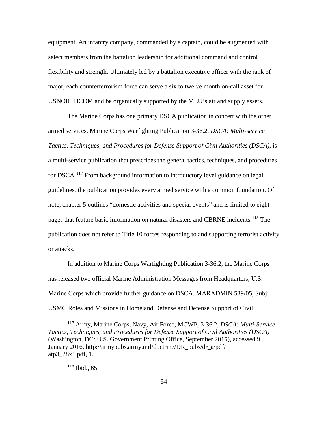equipment. An infantry company, commanded by a captain, could be augmented with select members from the battalion leadership for additional command and control flexibility and strength. Ultimately led by a battalion executive officer with the rank of major, each counterterrorism force can serve a six to twelve month on-call asset for USNORTHCOM and be organically supported by the MEU's air and supply assets.

The Marine Corps has one primary DSCA publication in concert with the other armed services. Marine Corps Warfighting Publication 3-36.2, *DSCA: Multi-service Tactics, Techniques, and Procedures for Defense Support of Civil Authorities (DSCA)*, is a multi-service publication that prescribes the general tactics, techniques, and procedures for DSCA.<sup>[117](#page-61-0)</sup> From background information to introductory level guidance on legal guidelines, the publication provides every armed service with a common foundation. Of note, chapter 5 outlines "domestic activities and special events" and is limited to eight pages that feature basic information on natural disasters and CBRNE incidents.<sup>[118](#page-61-1)</sup> The publication does not refer to Title 10 forces responding to and supporting terrorist activity or attacks.

In addition to Marine Corps Warfighting Publication 3-36.2, the Marine Corps has released two official Marine Administration Messages from Headquarters, U.S. Marine Corps which provide further guidance on DSCA. MARADMIN 589/05, Subj: USMC Roles and Missions in Homeland Defense and Defense Support of Civil

<span id="page-61-1"></span><span id="page-61-0"></span> <sup>117</sup> Army, Marine Corps, Navy, Air Force, MCWP, 3-36.2, *DSCA: Multi-Service Tactics, Techniques, and Procedures for Defense Support of Civil Authorities (DSCA)* (Washington, DC: U.S. Government Printing Office, September 2015), accessed 9 January 2016, http://armypubs.army.mil/doctrine/DR\_pubs/dr\_a/pdf/ atp3\_28x1.pdf, 1.

<sup>118</sup> Ibid., 65.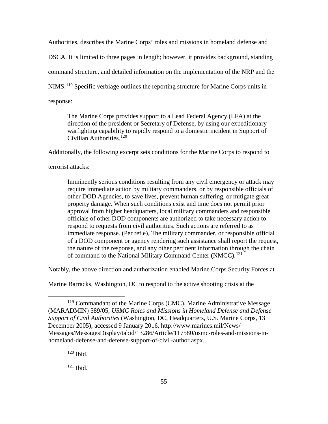Authorities, describes the Marine Corps' roles and missions in homeland defense and

DSCA. It is limited to three pages in length; however, it provides background, standing

command structure, and detailed information on the implementation of the NRP and the

NIMS.<sup>[119](#page-62-0)</sup> Specific verbiage outlines the reporting structure for Marine Corps units in

response:

The Marine Corps provides support to a Lead Federal Agency (LFA) at the direction of the president or Secretary of Defense, by using our expeditionary warfighting capability to rapidly respond to a domestic incident in Support of Civilian Authorities. $120$ 

Additionally, the following excerpt sets conditions for the Marine Corps to respond to

terrorist attacks:

Imminently serious conditions resulting from any civil emergency or attack may require immediate action by military commanders, or by responsible officials of other DOD Agencies, to save lives, prevent human suffering, or mitigate great property damage. When such conditions exist and time does not permit prior approval from higher headquarters, local military commanders and responsible officials of other DOD components are authorized to take necessary action to respond to requests from civil authorities. Such actions are referred to as immediate response. (Per ref e), The military commander, or responsible official of a DOD component or agency rendering such assistance shall report the request, the nature of the response, and any other pertinent information through the chain of command to the National Military Command Center (NMCC).<sup>[121](#page-62-2)</sup>

Notably, the above direction and authorization enabled Marine Corps Security Forces at

Marine Barracks, Washington, DC to respond to the active shooting crisis at the

<span id="page-62-0"></span><sup>&</sup>lt;sup>119</sup> Commandant of the Marine Corps (CMC), Marine Administrative Message (MARADMIN) 589/05, *USMC Roles and Missions in Homeland Defense and Defense Support of Civil Authorities* (Washington, DC, Headquarters, U.S. Marine Corps, 13 December 2005), accessed 9 January 2016, http://www.marines.mil/News/ Messages/MessagesDisplay/tabid/13286/Article/117580/usmc-roles-and-missions-inhomeland-defense-and-defense-support-of-civil-author.aspx.

<span id="page-62-2"></span><span id="page-62-1"></span><sup>120</sup> Ibid.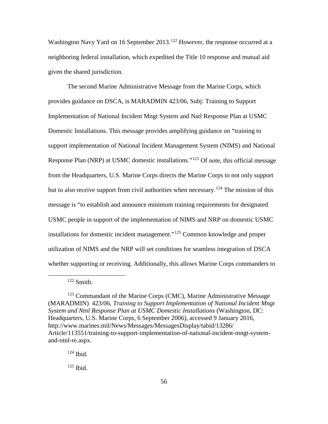Washington Navy Yard on 16 September 2013.<sup>[122](#page-63-0)</sup> However, the response occurred at a neighboring federal installation, which expedited the Title 10 response and mutual aid given the shared jurisdiction.

The second Marine Administrative Message from the Marine Corps, which provides guidance on DSCA, is MARADMIN 423/06, Subj: Training to Support Implementation of National Incident Mngt System and Natl Response Plan at USMC Domestic Installations. This message provides amplifying guidance on "training to support implementation of National Incident Management System (NIMS) and National Response Plan (NRP) at USMC domestic installations."<sup>[123](#page-63-1)</sup> Of note, this official message from the Headquarters, U.S. Marine Corps directs the Marine Corps to not only support but to also receive support from civil authorities when necessary.<sup>[124](#page-63-2)</sup> The mission of this message is "to establish and announce minimum training requirements for designated USMC people in support of the implementation of NIMS and NRP on domestic USMC installations for domestic incident management."[125](#page-63-3) Common knowledge and proper utilization of NIMS and the NRP will set conditions for seamless integration of DSCA whether supporting or receiving. Additionally, this allows Marine Corps commanders to

 $122$  Smith.

<span id="page-63-1"></span><span id="page-63-0"></span><sup>&</sup>lt;sup>123</sup> Commandant of the Marine Corps (CMC), Marine Administrative Message (MARADMIN) 423/06, *Training to Support Implementation of National Incident Mngt System and Ntnl Response Plan at USMC Domestic Installations* (Washington, DC: Headquarters, U.S. Marine Corps, 6 September 2006), accessed 9 January 2016, http://www.marines.mil/News/Messages/MessagesDisplay/tabid/13286/ Article/113551/training-to-support-implementation-of-national-incident-mngt-systemand-ntnl-re.aspx.

<span id="page-63-2"></span> $124$  Ibid.

<span id="page-63-3"></span> $125$  Ibid.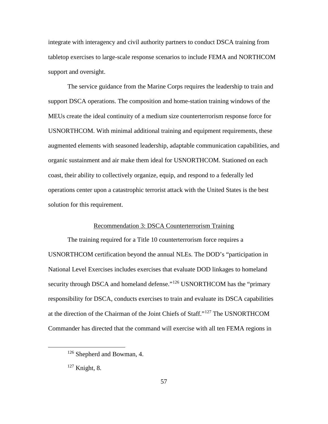integrate with interagency and civil authority partners to conduct DSCA training from tabletop exercises to large-scale response scenarios to include FEMA and NORTHCOM support and oversight.

The service guidance from the Marine Corps requires the leadership to train and support DSCA operations. The composition and home-station training windows of the MEUs create the ideal continuity of a medium size counterterrorism response force for USNORTHCOM. With minimal additional training and equipment requirements, these augmented elements with seasoned leadership, adaptable communication capabilities, and organic sustainment and air make them ideal for USNORTHCOM. Stationed on each coast, their ability to collectively organize, equip, and respond to a federally led operations center upon a catastrophic terrorist attack with the United States is the best solution for this requirement.

### Recommendation 3: DSCA Counterterrorism Training

The training required for a Title 10 counterterrorism force requires a USNORTHCOM certification beyond the annual NLEs. The DOD's "participation in National Level Exercises includes exercises that evaluate DOD linkages to homeland security through DSCA and homeland defense."<sup>[126](#page-64-0)</sup> USNORTHCOM has the "primary responsibility for DSCA, conducts exercises to train and evaluate its DSCA capabilities at the direction of the Chairman of the Joint Chiefs of Staff."[127](#page-64-1) The USNORTHCOM Commander has directed that the command will exercise with all ten FEMA regions in

<span id="page-64-0"></span> <sup>126</sup> Shepherd and Bowman, 4.

<span id="page-64-1"></span><sup>127</sup> Knight, 8.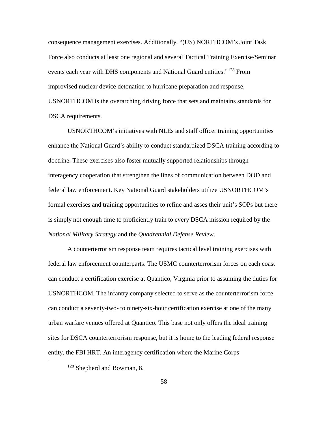consequence management exercises. Additionally, "(US) NORTHCOM's Joint Task Force also conducts at least one regional and several Tactical Training Exercise/Seminar events each year with DHS components and National Guard entities."<sup>[128](#page-65-0)</sup> From improvised nuclear device detonation to hurricane preparation and response, USNORTHCOM is the overarching driving force that sets and maintains standards for DSCA requirements.

USNORTHCOM's initiatives with NLEs and staff officer training opportunities enhance the National Guard's ability to conduct standardized DSCA training according to doctrine. These exercises also foster mutually supported relationships through interagency cooperation that strengthen the lines of communication between DOD and federal law enforcement. Key National Guard stakeholders utilize USNORTHCOM's formal exercises and training opportunities to refine and asses their unit's SOPs but there is simply not enough time to proficiently train to every DSCA mission required by the *National Military Strategy* and the *Quadrennial Defense Review*.

A counterterrorism response team requires tactical level training exercises with federal law enforcement counterparts. The USMC counterterrorism forces on each coast can conduct a certification exercise at Quantico, Virginia prior to assuming the duties for USNORTHCOM. The infantry company selected to serve as the counterterrorism force can conduct a seventy-two- to ninety-six-hour certification exercise at one of the many urban warfare venues offered at Quantico. This base not only offers the ideal training sites for DSCA counterterrorism response, but it is home to the leading federal response entity, the FBI HRT. An interagency certification where the Marine Corps

<span id="page-65-0"></span> <sup>128</sup> Shepherd and Bowman, 8.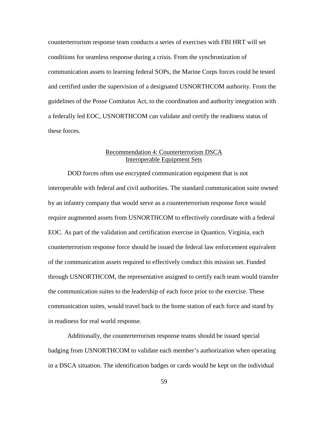counterterrorism response team conducts a series of exercises with FBI HRT will set conditions for seamless response during a crisis. From the synchronization of communication assets to learning federal SOPs, the Marine Corps forces could be tested and certified under the supervision of a designated USNORTHCOM authority. From the guidelines of the Posse Comitatus Act, to the coordination and authority integration with a federally led EOC, USNORTHCOM can validate and certify the readiness status of these forces.

# Recommendation 4: Counterterrorism DSCA Interoperable Equipment Sets

DOD forces often use encrypted communication equipment that is not interoperable with federal and civil authorities. The standard communication suite owned by an infantry company that would serve as a counterterrorism response force would require augmented assets from USNORTHCOM to effectively coordinate with a federal EOC. As part of the validation and certification exercise in Quantico, Virginia, each counterterrorism response force should be issued the federal law enforcement equivalent of the communication assets required to effectively conduct this mission set. Funded through USNORTHCOM, the representative assigned to certify each team would transfer the communication suites to the leadership of each force prior to the exercise. These communication suites, would travel back to the home station of each force and stand by in readiness for real world response.

Additionally, the counterterrorism response teams should be issued special badging from USNORTHCOM to validate each member's authorization when operating in a DSCA situation. The identification badges or cards would be kept on the individual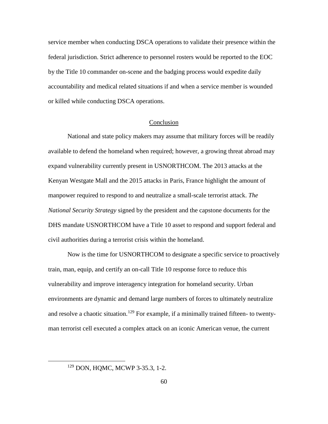service member when conducting DSCA operations to validate their presence within the federal jurisdiction. Strict adherence to personnel rosters would be reported to the EOC by the Title 10 commander on-scene and the badging process would expedite daily accountability and medical related situations if and when a service member is wounded or killed while conducting DSCA operations.

## Conclusion

National and state policy makers may assume that military forces will be readily available to defend the homeland when required; however, a growing threat abroad may expand vulnerability currently present in USNORTHCOM. The 2013 attacks at the Kenyan Westgate Mall and the 2015 attacks in Paris, France highlight the amount of manpower required to respond to and neutralize a small-scale terrorist attack. *The National Security Strategy* signed by the president and the capstone documents for the DHS mandate USNORTHCOM have a Title 10 asset to respond and support federal and civil authorities during a terrorist crisis within the homeland.

Now is the time for USNORTHCOM to designate a specific service to proactively train, man, equip, and certify an on-call Title 10 response force to reduce this vulnerability and improve interagency integration for homeland security. Urban environments are dynamic and demand large numbers of forces to ultimately neutralize and resolve a chaotic situation.<sup>[129](#page-67-0)</sup> For example, if a minimally trained fifteen- to twentyman terrorist cell executed a complex attack on an iconic American venue, the current

<span id="page-67-0"></span> <sup>129</sup> DON, HQMC, MCWP 3-35.3, 1-2.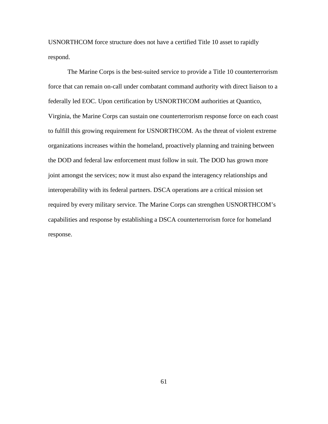USNORTHCOM force structure does not have a certified Title 10 asset to rapidly respond.

The Marine Corps is the best-suited service to provide a Title 10 counterterrorism force that can remain on-call under combatant command authority with direct liaison to a federally led EOC. Upon certification by USNORTHCOM authorities at Quantico, Virginia, the Marine Corps can sustain one counterterrorism response force on each coast to fulfill this growing requirement for USNORTHCOM. As the threat of violent extreme organizations increases within the homeland, proactively planning and training between the DOD and federal law enforcement must follow in suit. The DOD has grown more joint amongst the services; now it must also expand the interagency relationships and interoperability with its federal partners. DSCA operations are a critical mission set required by every military service. The Marine Corps can strengthen USNORTHCOM's capabilities and response by establishing a DSCA counterterrorism force for homeland response.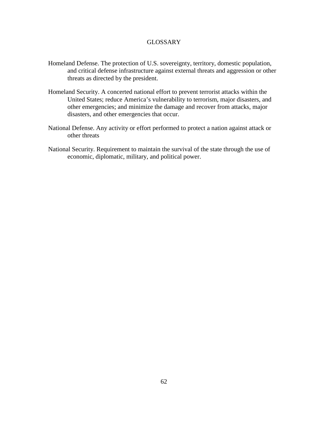# GLOSSARY

- Homeland Defense. The protection of U.S. sovereignty, territory, domestic population, and critical defense infrastructure against external threats and aggression or other threats as directed by the president.
- Homeland Security. A concerted national effort to prevent terrorist attacks within the United States; reduce America's vulnerability to terrorism, major disasters, and other emergencies; and minimize the damage and recover from attacks, major disasters, and other emergencies that occur.
- National Defense. Any activity or effort performed to protect a nation against attack or other threats
- National Security. Requirement to maintain the survival of the state through the use of economic, diplomatic, military, and political power.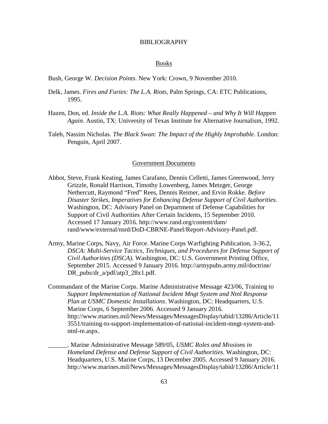#### BIBLIOGRAPHY

#### Books

Bush, George W. *Decision Points*. New York: Crown, 9 November 2010.

- Delk, James. *Fires and Furies: The L.A. Riots,* Palm Springs, CA: ETC Publications, 1995.
- Hazen, Don, ed. *Inside the L.A. Riots: What Really Happened – and Why It Will Happen Again.* Austin, TX: University of Texas Institute for Alternative Journalism, 1992.
- Taleb, Nassim Nicholas. *The Black Swan: The Impact of the Highly Improbable*. London: Penguin, April 2007.

## Government Documents

- Abbot, Steve, Frank Keating, James Carafano, Dennis Celletti, James Greenwood, Jerry Grizzle, Ronald Harrison, Timothy Lowenberg, James Metzger, George Nethercutt, Raymond "Fred" Rees, Dennis Reimer, and Ervin Rokke. *Before Disaster Strikes, Imperatives for Enhancing Defense Support of Civil Authorities.* Washington, DC: Advisory Panel on Department of Defense Capabilities for Support of Civil Authorities After Certain Incidents, 15 September 2010. Accessed 17 January 2016. http://www.rand.org/content/dam/ rand/www/external/nsrd/DoD-CBRNE-Panel/Report-Advisory-Panel.pdf.
- Army, Marine Corps, Navy, Air Force. Marine Corps Warfighting Publication, 3-36.2, **DSCA: Multi-Service Tactics, Techniques, and Procedures for Defense Support of** *Civil Authorities (DSCA).* Washington, DC: U.S. Government Printing Office, September 2015. Accessed 9 January 2016. http://armypubs.army.mil/doctrine/ DR\_pubs/dr\_a/pdf/atp3\_28x1.pdf.
- Commandant of the Marine Corps. Marine Administrative Message 423/06, Training to *Support Implementation of National Incident Mngt System and Ntnl Response Plan at USMC Domestic Installations*. Washington, DC: Headquarters, U.S. Marine Corps, 6 September 2006. Accessed 9 January 2016. http://www.marines.mil/News/Messages/MessagesDisplay/tabid/13286/Article/11 3551/training-to-support-implementation-of-national-incident-mngt-system-andntnl-re.aspx.
	- \_\_\_\_\_\_. Marine Administrative Message 589/05, *USMC Roles and Missions in Homeland Defense and Defense Support of Civil Authorities*. Washington, DC: Headquarters, U.S. Marine Corps, 13 December 2005. Accessed 9 January 2016. http://www.marines.mil/News/Messages/MessagesDisplay/tabid/13286/Article/11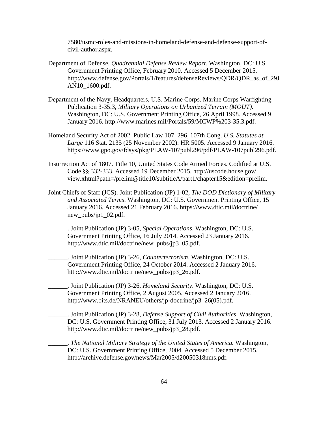7580/usmc-roles-and-missions-in-homeland-defense-and-defense-support-ofcivil-author.aspx.

- Department of Defense*. Quadrennial Defense Review Report.* Washington, DC: U.S. Government Printing Office, February 2010. Accessed 5 December 2015. http://www.defense.gov/Portals/1/features/defenseReviews/QDR/QDR\_as\_of\_29J AN10\_1600.pdf.
- Department of the Navy, Headquarters, U.S. Marine Corps. Marine Corps Warfighting Publication 3-35.3, *Military Operations on Urbanized Terrain (MOUT)*. Washington, DC: U.S. Government Printing Office, 26 April 1998. Accessed 9 January 2016. http://www.marines.mil/Portals/59/MCWP%203-35.3.pdf.
- Homeland Security Act of 2002. Public Law 107–296, 107th Cong. *U.S. Statutes at Large* 116 Stat. 2135 (25 November 2002): HR 5005. Accessed 9 January 2016. https://www.gpo.gov/fdsys/pkg/PLAW-107publ296/pdf/PLAW-107publ296.pdf.
- Insurrection Act of 1807. Title 10, United States Code Armed Forces. Codified at U.S. Code §§ 332-333. Accessed 19 December 2015. http://uscode.house.gov/ view.xhtml?path=/prelim@title10/subtitleA/part1/chapter15&edition=prelim.
- Joint Chiefs of Staff (JCS). Joint Publication (JP) 1-02, *The DOD Dictionary of Military and Associated Terms*. Washington, DC: U.S. Government Printing Office, 15 January 2016. Accessed 21 February 2016. https://www.dtic.mil/doctrine/ new\_pubs/jp1\_02.pdf.
	- \_\_\_\_\_\_. Joint Publication (JP) 3-05, *Special Operations*. Washington, DC: U.S. Government Printing Office, 16 July 2014. Accessed 23 January 2016. http://www.dtic.mil/doctrine/new\_pubs/jp3\_05.pdf.
		- \_\_\_\_\_\_. Joint Publication (JP) 3-26, *Counterterrorism*. Washington, DC: U.S. Government Printing Office, 24 October 2014. Accessed 2 January 2016. http://www.dtic.mil/doctrine/new\_pubs/jp3\_26.pdf.
		- \_\_\_\_\_\_. Joint Publication (JP) 3-26, *Homeland Security*. Washington, DC: U.S. Government Printing Office, 2 August 2005. Accessed 2 January 2016. http://www.bits.de/NRANEU/others/jp-doctrine/jp3\_26(05).pdf.
		- \_\_\_\_\_\_. Joint Publication (JP) 3-28, *Defense Support of Civil Authorities*. Washington, DC: U.S. Government Printing Office, 31 July 2013. Accessed 2 January 2016. http://www.dtic.mil/doctrine/new\_pubs/jp3\_28.pdf.
			- \_\_\_\_\_\_. *The National Military Strategy of the United States of America.* Washington, DC: U.S. Government Printing Office, 2004. Accessed 5 December 2015. http://archive.defense.gov/news/Mar2005/d20050318nms.pdf.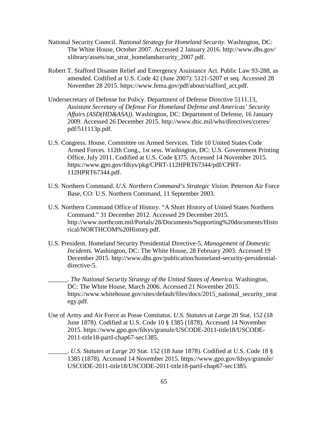- National Security Council. *National Strategy for Homeland Security.* Washington, DC: The White House, October 2007. Accessed 2 January 2016. http://www.dhs.gov/ xlibrary/assets/nat\_strat\_homelandsecurity\_2007.pdf.
- Robert T. Stafford Disaster Relief and Emergency Assistance Act. Public Law 93-288, as amended. Codified at U.S. Code 42 (June 2007): 5121-5207 et seq. Accessed 28 November 28 2015. https://www.fema.gov/pdf/about/stafford\_act.pdf.
- Undersecretary of Defense for Policy. Department of Defense Directive 5111.13, *Assistant Secretary of Defense For Homeland Defense and Americas' Security Affairs (ASD(HD&ASA))*. Washington, DC: Department of Defense, 16 January 2009. Accessed 26 December 2015. http://www.dtic.mil/whs/directives/corres/ pdf/511113p.pdf.
- U.S. Congress. House. Committee on Armed Services. Title 10 United States Code Armed Forces. 112th Cong., 1st sess. Washington, DC: U.S. Government Printing Office, July 2011. Codified at U.S. Code §375. Accessed 14 November 2015. https://www.gpo.gov/fdsys/pkg/CPRT-112HPRT67344/pdf/CPRT-112HPRT67344.pdf.
- U.S. Northern Command. *U.S. Northern Command's Strategic Vision*. Peterson Air Force Base, CO: U.S. Northern Command, 11 September 2003.
- U.S. Northern Command Office of History. "A Short History of United States Northern Command." 31 December 2012. Accessed 29 December 2015. http://www.northcom.mil/Portals/28/Documents/Supporting%20documents/Histo rical/NORTHCOM%20History.pdf.
- U.S. President. Homeland Security Presidential Directive-5, *Management of Domestic Incidents.* Washington, DC: The White House, 28 February 2003. Accessed 19 December 2015. http://www.dhs.gov/publication/homeland-security-presidentialdirective-5.
- \_\_\_\_\_\_. *The National Security Strategy of the United States of America.* Washington, DC: The White House, March 2006. Accessed 21 November 2015. https://www.whitehouse.gov/sites/default/files/docs/2015\_national\_security\_strat egy.pdf.
- Use of Army and Air Force as Posse Comitatus. *U.S. Statutes at Large* 20 Stat. 152 (18 June 1878). Codified at U.S. Code 10 § 1385 (1878). Accessed 14 November 2015. https://www.gpo.gov/fdsys/granule/USCODE-2011-title18/USCODE-2011-title18-partI-chap67-sec1385.
	- \_\_\_\_\_\_. *U.S. Statutes at Large* 20 Stat. 152 (18 June 1878). Codified at U.S. Code 18 § 1385 (1878). Accessed 14 November 2015. https://www.gpo.gov/fdsys/granule/ USCODE-2011-title18/USCODE-2011-title18-partI-chap67-sec1385.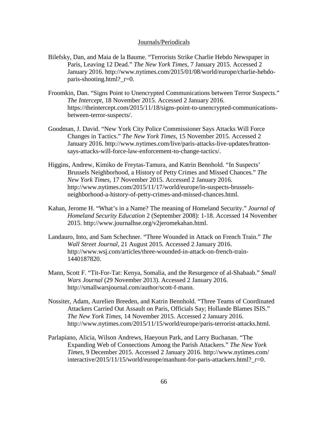## Journals/Periodicals

- Bilefsky, Dan, and Maia de la Baume. "Terrorists Strike Charlie Hebdo Newspaper in Paris, Leaving 12 Dead." *The New York Times*, 7 January 2015. Accessed 2 January 2016. http://www.nytimes.com/2015/01/08/world/europe/charlie-hebdoparis-shooting.html?  $r=0$ .
- Froomkin, Dan. "Signs Point to Unencrypted Communications between Terror Suspects." *The Intercept*, 18 November 2015. Accessed 2 January 2016. https://theintercept.com/2015/11/18/signs-point-to-unencrypted-communicationsbetween-terror-suspects/.
- Goodman, J. David. "New York City Police Commissioner Says Attacks Will Force Changes in Tactics." *The New York Times*, 15 November 2015. Accessed 2 January 2016. http://www.nytimes.com/live/paris-attacks-live-updates/brattonsays-attacks-will-force-law-enforcement-to-change-tactics/.
- Higgins, Andrew, Kimiko de Freytas-Tamura, and Katrin Bennhold. "In Suspects' Brussels Neighborhood, a History of Petty Crimes and Missed Chances." *The New York Times*, 17 November 2015. Accessed 2 January 2016. http://www.nytimes.com/2015/11/17/world/europe/in-suspects-brusselsneighborhood-a-history-of-petty-crimes-and-missed-chances.html.
- Kahan, Jerome H. "What's in a Name? The meaning of Homeland Security." *Journal of Homeland Security Education* 2 (September 2008): 1-18. Accessed 14 November 2015. http://www.journalhse.org/v2jeromekahan.html.
- Landauro, Into, and Sam Schechner. "Three Wounded in Attack on French Train." *The Wall Street Journal*, 21 August 2015. Accessed 2 January 2016. http://www.wsj.com/articles/three-wounded-in-attack-on-french-train-1440187820.
- Mann, Scott F. "Tit-For-Tat: Kenya, Somalia, and the Resurgence of al-Shabaab." *Small Wars Journal* (29 November 2013). Accessed 2 January 2016. http://smallwarsjournal.com/author/scott-f-mann.
- Nossiter, Adam, Aurelien Breeden, and Katrin Bennhold. "Three Teams of Coordinated Attackers Carried Out Assault on Paris, Officials Say; Hollande Blames ISIS." *The New York Times*, 14 November 2015. Accessed 2 January 2016. http://www.nytimes.com/2015/11/15/world/europe/paris-terrorist-attacks.html.
- Parlapiano, Alicia, Wilson Andrews, Haeyoun Park, and Larry Buchanan. "The Expanding Web of Connections Among the Parish Attackers." *The New York Times*, 9 December 2015. Accessed 2 January 2016. http://www.nytimes.com/ interactive/2015/11/15/world/europe/manhunt-for-paris-attackers.html? r=0.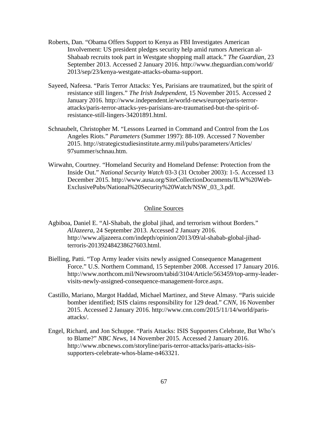- Roberts, Dan. "Obama Offers Support to Kenya as FBI Investigates American Involvement: US president pledges security help amid rumors American al-Shabaab recruits took part in Westgate shopping mall attack." *The Guardian*, 23 September 2013. Accessed 2 January 2016. http://www.theguardian.com/world/ 2013/sep/23/kenya-westgate-attacks-obama-support.
- Sayeed, Nafeesa. "Paris Terror Attacks: Yes, Parisians are traumatized, but the spirit of resistance still lingers." *The Irish Independent*, 15 November 2015. Accessed 2 January 2016. http://www.independent.ie/world-news/europe/paris-terrorattacks/paris-terror-attacks-yes-parisians-are-traumatised-but-the-spirit-ofresistance-still-lingers-34201891.html.
- Schnaubelt, Christopher M. "Lessons Learned in Command and Control from the Los Angeles Riots." *Parameters* (Summer 1997): 88-109. Accessed 7 November 2015. http://strategicstudiesinstitute.army.mil/pubs/parameters/Articles/ 97summer/schnau.htm.
- Wirwahn, Courtney. "Homeland Security and Homeland Defense: Protection from the Inside Out." *National Security Watch* 03-3 (31 October 2003): 1-5. Accessed 13 December 2015. http://www.ausa.org/SiteCollectionDocuments/ILW%20Web-ExclusivePubs/National%20Security%20Watch/NSW\_03\_3.pdf.

## Online Sources

- Agbiboa, Daniel E. "Al-Shabab, the global jihad, and terrorism without Borders." *AlJazeera*, 24 September 2013. Accessed 2 January 2016. http://www.aljazeera.com/indepth/opinion/2013/09/al-shabab-global-jihadterroris-201392484238627603.html.
- Bielling, Patti. "Top Army leader visits newly assigned Consequence Management Force." U.S. Northern Command, 15 September 2008. Accessed 17 January 2016. http://www.northcom.mil/Newsroom/tabid/3104/Article/563459/top-army-leadervisits-newly-assigned-consequence-management-force.aspx.
- Castillo, Mariano, Margot Haddad, Michael Martinez, and Steve Almasy. "Paris suicide bomber identified; ISIS claims responsibility for 129 dead." *CNN*, 16 November 2015. Accessed 2 January 2016. http://www.cnn.com/2015/11/14/world/parisattacks/.
- Engel, Richard, and Jon Schuppe. "Paris Attacks: ISIS Supporters Celebrate, But Who's to Blame?" *NBC News*, 14 November 2015. Accessed 2 January 2016. http://www.nbcnews.com/storyline/paris-terror-attacks/paris-attacks-isissupporters-celebrate-whos-blame-n463321.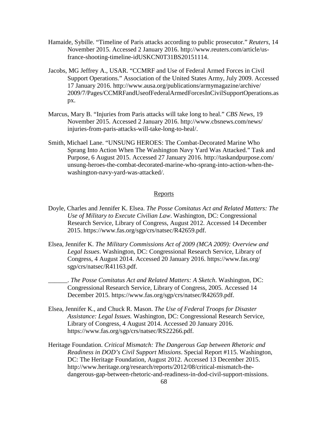- Hamaide, Sybille. "Timeline of Paris attacks according to public prosecutor." *Reuters*, 14 November 2015. Accessed 2 January 2016. http://www.reuters.com/article/usfrance-shooting-timeline-idUSKCN0T31BS20151114.
- Jacobs, MG Jeffrey A., USAR. "CCMRF and Use of Federal Armed Forces in Civil Support Operations." Association of the United States Army, July 2009. Accessed 17 January 2016. http://www.ausa.org/publications/armymagazine/archive/ 2009/7/Pages/CCMRFandUseofFederalArmedForcesInCivilSupportOperations.as px.
- Marcus, Mary B. "Injuries from Paris attacks will take long to heal." *CBS News*, 19 November 2015. Accessed 2 January 2016. http://www.cbsnews.com/news/ injuries-from-paris-attacks-will-take-long-to-heal/.
- Smith, Michael Lane. "UNSUNG HEROES: The Combat-Decorated Marine Who Sprang Into Action When The Washington Navy Yard Was Attacked." Task and Purpose, 6 August 2015. Accessed 27 January 2016. http://taskandpurpose.com/ unsung-heroes-the-combat-decorated-marine-who-sprang-into-action-when-thewashington-navy-yard-was-attacked/.

## Reports

- Doyle, Charles and Jennifer K. Elsea. *The Posse Comitatus Act and Related Matters: The Use of Military to Execute Civilian Law*. Washington, DC: Congressional Research Service, Library of Congress, August 2012. Accessed 14 December 2015. https://www.fas.org/sgp/crs/natsec/R42659.pdf.
- Elsea, Jennifer K. *The Military Commissions Act of 2009 (MCA 2009): Overview and Legal Issues*. Washington, DC: Congressional Research Service, Library of Congress, 4 August 2014. Accessed 20 January 2016. https://www.fas.org/ sgp/crs/natsec/R41163.pdf.
	- \_\_\_\_\_\_. *The Posse Comitatus Act and Related Matters: A Sketch*. Washington, DC: Congressional Research Service, Library of Congress, 2005. Accessed 14 December 2015. https://www.fas.org/sgp/crs/natsec/R42659.pdf.
- Elsea, Jennifer K., and Chuck R. Mason. *The Use of Federal Troops for Disaster Assistance: Legal Issues.* Washington, DC: Congressional Research Service, Library of Congress, 4 August 2014. Accessed 20 January 2016. https://www.fas.org/sgp/crs/natsec/RS22266.pdf.
- Heritage Foundation. *Critical Mismatch: The Dangerous Gap between Rhetoric and Readiness in DOD's Civil Support Missions*. Special Report #115. Washington, DC: The Heritage Foundation, August 2012. Accessed 13 December 2015. http://www.heritage.org/research/reports/2012/08/critical-mismatch-thedangerous-gap-between-rhetoric-and-readiness-in-dod-civil-support-missions.